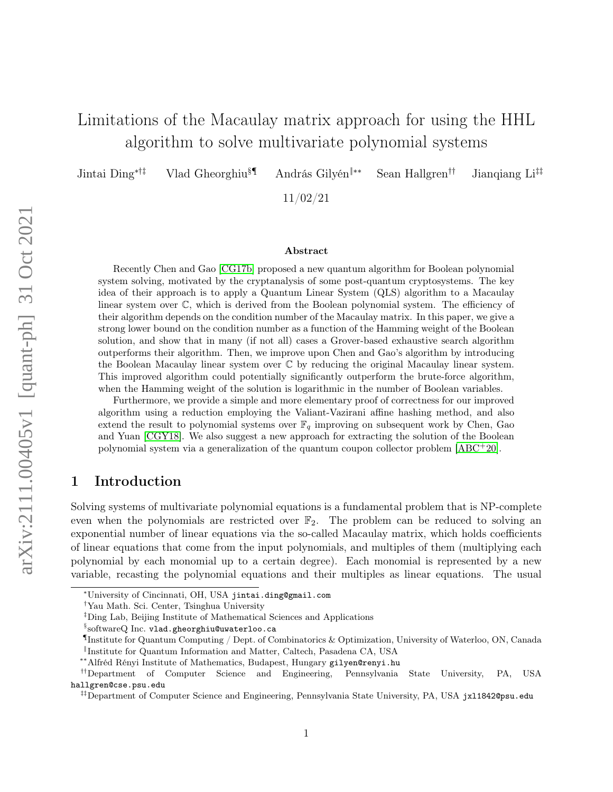# Limitations of the Macaulay matrix approach for using the HHL algorithm to solve multivariate polynomial systems

Jintai Ding∗†‡ Vlad Gheorghiu§¶ András Gilyén‖∗∗ Sean Hallgren†† Jianqiang Li‡‡

11/02/21

#### Abstract

Recently Chen and Gao [\[CG17b\]](#page-22-0) proposed a new quantum algorithm for Boolean polynomial system solving, motivated by the cryptanalysis of some post-quantum cryptosystems. The key idea of their approach is to apply a Quantum Linear System (QLS) algorithm to a Macaulay linear system over C, which is derived from the Boolean polynomial system. The efficiency of their algorithm depends on the condition number of the Macaulay matrix. In this paper, we give a strong lower bound on the condition number as a function of the Hamming weight of the Boolean solution, and show that in many (if not all) cases a Grover-based exhaustive search algorithm outperforms their algorithm. Then, we improve upon Chen and Gao's algorithm by introducing the Boolean Macaulay linear system over C by reducing the original Macaulay linear system. This improved algorithm could potentially significantly outperform the brute-force algorithm, when the Hamming weight of the solution is logarithmic in the number of Boolean variables.

Furthermore, we provide a simple and more elementary proof of correctness for our improved algorithm using a reduction employing the Valiant-Vazirani affine hashing method, and also extend the result to polynomial systems over  $\mathbb{F}_q$  improving on subsequent work by Chen, Gao and Yuan [\[CGY18\]](#page-22-1). We also suggest a new approach for extracting the solution of the Boolean polynomial system via a generalization of the quantum coupon collector problem [\[ABC](#page-21-0)<sup>+</sup>20].

### 1 Introduction

Solving systems of multivariate polynomial equations is a fundamental problem that is NP-complete even when the polynomials are restricted over  $\mathbb{F}_2$ . The problem can be reduced to solving an exponential number of linear equations via the so-called Macaulay matrix, which holds coefficients of linear equations that come from the input polynomials, and multiples of them (multiplying each polynomial by each monomial up to a certain degree). Each monomial is represented by a new variable, recasting the polynomial equations and their multiples as linear equations. The usual

<sup>∗</sup>University of Cincinnati, OH, USA jintai.ding@gmail.com

<sup>†</sup>Yau Math. Sci. Center, Tsinghua University

<sup>‡</sup>Ding Lab, Beijing Institute of Mathematical Sciences and Applications

 $^{\S}\rm{softmax}$  Inc. vlad.gheorghiu@uwaterloo.ca

<sup>¶</sup> Institute for Quantum Computing / Dept. of Combinatorics & Optimization, University of Waterloo, ON, Canada ‖ Institute for Quantum Information and Matter, Caltech, Pasadena CA, USA

<sup>∗∗</sup>Alfréd Rényi Institute of Mathematics, Budapest, Hungary gilyen@renyi.hu

<sup>††</sup>Department of Computer Science and Engineering, Pennsylvania State University, PA, USA hallgren@cse.psu.edu

<sup>&</sup>lt;sup>‡‡</sup>Department of Computer Science and Engineering, Pennsylvania State University, PA, USA jx11842@psu.edu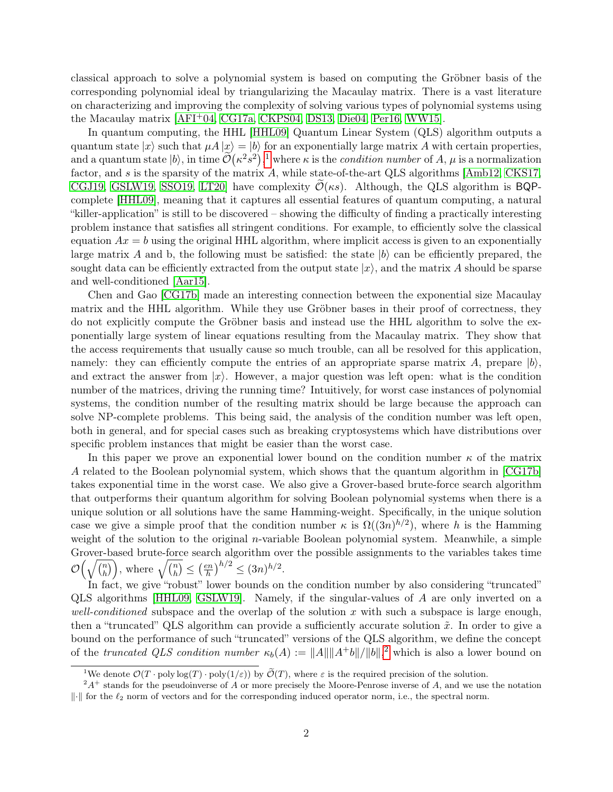classical approach to solve a polynomial system is based on computing the Gröbner basis of the corresponding polynomial ideal by triangularizing the Macaulay matrix. There is a vast literature on characterizing and improving the complexity of solving various types of polynomial systems using the Macaulay matrix [\[AFI](#page-21-1)+04, [CG17a,](#page-22-2) [CKPS04,](#page-22-3) [DS13,](#page-23-0) [Die04,](#page-23-1) [Per16,](#page-23-2) [WW15\]](#page-24-0).

In quantum computing, the HHL [\[HHL09\]](#page-23-3) Quantum Linear System (QLS) algorithm outputs a quantum state  $|x\rangle$  such that  $\mu A |x\rangle = |b\rangle$  for an exponentially large matrix A with certain properties, and a quantum state  $|b\rangle$ , in time  $\widetilde{\mathcal{O}}(\kappa^2 s^2)$ ,<sup>[1](#page-1-0)</sup> where  $\kappa$  is the *condition number* of A,  $\mu$  is a normalization factor, and s is the sparsity of the matrix A, while state-of-the-art QLS algorithms [\[Amb12,](#page-21-2) [CKS17,](#page-23-4) [CGJ19,](#page-22-4) [GSLW19,](#page-23-5) [SSO19,](#page-23-6) LT20 have complexity  $\mathcal{O}(\kappa s)$ . Although, the QLS algorithm is BQPcomplete [\[HHL09\]](#page-23-3), meaning that it captures all essential features of quantum computing, a natural "killer-application" is still to be discovered – showing the difficulty of finding a practically interesting problem instance that satisfies all stringent conditions. For example, to efficiently solve the classical equation  $Ax = b$  using the original HHL algorithm, where implicit access is given to an exponentially large matrix A and b, the following must be satisfied: the state  $|b\rangle$  can be efficiently prepared, the sought data can be efficiently extracted from the output state  $|x\rangle$ , and the matrix A should be sparse and well-conditioned [\[Aar15\]](#page-21-3).

Chen and Gao [\[CG17b\]](#page-22-0) made an interesting connection between the exponential size Macaulay matrix and the HHL algorithm. While they use Gröbner bases in their proof of correctness, they do not explicitly compute the Gröbner basis and instead use the HHL algorithm to solve the exponentially large system of linear equations resulting from the Macaulay matrix. They show that the access requirements that usually cause so much trouble, can all be resolved for this application, namely: they can efficiently compute the entries of an appropriate sparse matrix A, prepare  $|b\rangle$ , and extract the answer from  $|x\rangle$ . However, a major question was left open: what is the condition number of the matrices, driving the running time? Intuitively, for worst case instances of polynomial systems, the condition number of the resulting matrix should be large because the approach can solve NP-complete problems. This being said, the analysis of the condition number was left open, both in general, and for special cases such as breaking cryptosystems which have distributions over specific problem instances that might be easier than the worst case.

In this paper we prove an exponential lower bound on the condition number  $\kappa$  of the matrix A related to the Boolean polynomial system, which shows that the quantum algorithm in [\[CG17b\]](#page-22-0) takes exponential time in the worst case. We also give a Grover-based brute-force search algorithm that outperforms their quantum algorithm for solving Boolean polynomial systems when there is a unique solution or all solutions have the same Hamming-weight. Specifically, in the unique solution case we give a simple proof that the condition number  $\kappa$  is  $\Omega((3n)^{h/2})$ , where h is the Hamming weight of the solution to the original *n*-variable Boolean polynomial system. Meanwhile, a simple Grover-based brute-force search algorithm over the possible assignments to the variables takes time  $\mathcal{O}\big(\sqrt{\binom{n}{h}}\big)$  $\binom{n}{h}$ , where  $\sqrt{\binom{n}{h}}$  $\binom{n}{h} \leq \left(\frac{en}{h}\right)$  $\left(\frac{en}{h}\right)^{h/2} \leq (3n)^{h/2}.$ 

In fact, we give "robust" lower bounds on the condition number by also considering "truncated" QLS algorithms [\[HHL09,](#page-23-3) [GSLW19\]](#page-23-5). Namely, if the singular-values of A are only inverted on a well-conditioned subspace and the overlap of the solution x with such a subspace is large enough, then a "truncated" QLS algorithm can provide a sufficiently accurate solution  $\tilde{x}$ . In order to give a bound on the performance of such "truncated" versions of the QLS algorithm, we define the concept of the truncated QLS condition number  $\kappa_b(A) := ||A|| ||A^+b||/||b||$ ,<sup>[2](#page-1-1)</sup> which is also a lower bound on

<span id="page-1-1"></span><span id="page-1-0"></span><sup>&</sup>lt;sup>1</sup>We denote  $\mathcal{O}(T \cdot \text{poly}\log(T) \cdot \text{poly}(1/\varepsilon))$  by  $\widetilde{\mathcal{O}}(T)$ , where  $\varepsilon$  is the required precision of the solution.

 $^2A^+$  stands for the pseudoinverse of A or more precisely the Moore-Penrose inverse of A, and we use the notation  $\|\cdot\|$  for the  $\ell_2$  norm of vectors and for the corresponding induced operator norm, i.e., the spectral norm.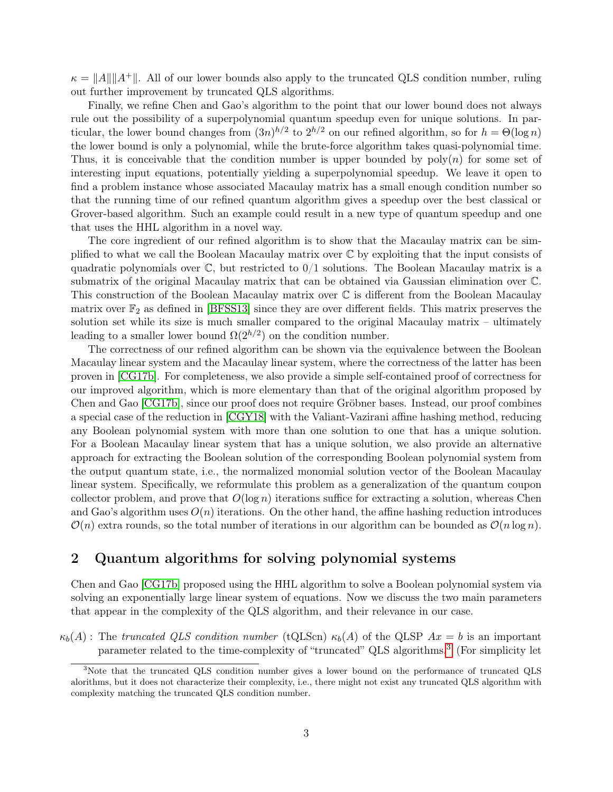$\kappa = ||A|| ||A^+||$ . All of our lower bounds also apply to the truncated QLS condition number, ruling out further improvement by truncated QLS algorithms.

Finally, we refine Chen and Gao's algorithm to the point that our lower bound does not always rule out the possibility of a superpolynomial quantum speedup even for unique solutions. In particular, the lower bound changes from  $(3n)^{h/2}$  to  $2^{h/2}$  on our refined algorithm, so for  $h = \Theta(\log n)$ the lower bound is only a polynomial, while the brute-force algorithm takes quasi-polynomial time. Thus, it is conceivable that the condition number is upper bounded by  $poly(n)$  for some set of interesting input equations, potentially yielding a superpolynomial speedup. We leave it open to find a problem instance whose associated Macaulay matrix has a small enough condition number so that the running time of our refined quantum algorithm gives a speedup over the best classical or Grover-based algorithm. Such an example could result in a new type of quantum speedup and one that uses the HHL algorithm in a novel way.

The core ingredient of our refined algorithm is to show that the Macaulay matrix can be simplified to what we call the Boolean Macaulay matrix over C by exploiting that the input consists of quadratic polynomials over  $\mathbb{C}$ , but restricted to  $0/1$  solutions. The Boolean Macaulay matrix is a submatrix of the original Macaulay matrix that can be obtained via Gaussian elimination over C. This construction of the Boolean Macaulay matrix over C is different from the Boolean Macaulay matrix over  $\mathbb{F}_2$  as defined in [\[BFSS13\]](#page-22-5) since they are over different fields. This matrix preserves the solution set while its size is much smaller compared to the original Macaulay matrix – ultimately leading to a smaller lower bound  $\Omega(2^{h/2})$  on the condition number.

The correctness of our refined algorithm can be shown via the equivalence between the Boolean Macaulay linear system and the Macaulay linear system, where the correctness of the latter has been proven in [\[CG17b\]](#page-22-0). For completeness, we also provide a simple self-contained proof of correctness for our improved algorithm, which is more elementary than that of the original algorithm proposed by Chen and Gao [\[CG17b\]](#page-22-0), since our proof does not require Gröbner bases. Instead, our proof combines a special case of the reduction in [\[CGY18\]](#page-22-1) with the Valiant-Vazirani affine hashing method, reducing any Boolean polynomial system with more than one solution to one that has a unique solution. For a Boolean Macaulay linear system that has a unique solution, we also provide an alternative approach for extracting the Boolean solution of the corresponding Boolean polynomial system from the output quantum state, i.e., the normalized monomial solution vector of the Boolean Macaulay linear system. Specifically, we reformulate this problem as a generalization of the quantum coupon collector problem, and prove that  $O(\log n)$  iterations suffice for extracting a solution, whereas Chen and Gao's algorithm uses  $O(n)$  iterations. On the other hand, the affine hashing reduction introduces  $\mathcal{O}(n)$  extra rounds, so the total number of iterations in our algorithm can be bounded as  $\mathcal{O}(n \log n)$ .

### 2 Quantum algorithms for solving polynomial systems

Chen and Gao [\[CG17b\]](#page-22-0) proposed using the HHL algorithm to solve a Boolean polynomial system via solving an exponentially large linear system of equations. Now we discuss the two main parameters that appear in the complexity of the QLS algorithm, and their relevance in our case.

 $\kappa_b(A)$ : The truncated QLS condition number (tQLScn)  $\kappa_b(A)$  of the QLSP  $Ax = b$  is an important parameter related to the time-complexity of "truncated" QLS algorithms.<sup>[3](#page-2-0)</sup> (For simplicity let

<span id="page-2-0"></span><sup>&</sup>lt;sup>3</sup>Note that the truncated QLS condition number gives a lower bound on the performance of truncated QLS alorithms, but it does not characterize their complexity, i.e., there might not exist any truncated QLS algorithm with complexity matching the truncated QLS condition number.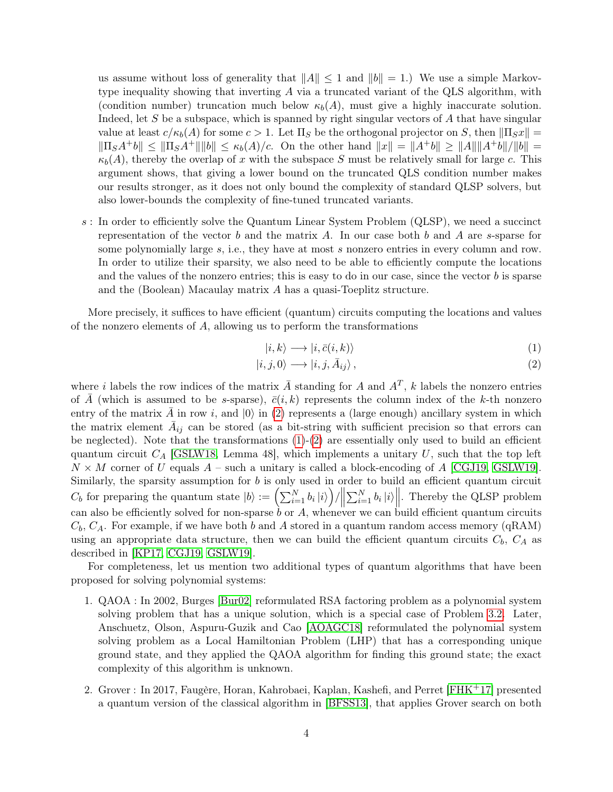us assume without loss of generality that  $||A|| \leq 1$  and  $||b|| = 1$ .) We use a simple Markovtype inequality showing that inverting A via a truncated variant of the QLS algorithm, with (condition number) truncation much below  $\kappa_b(A)$ , must give a highly inaccurate solution. Indeed, let S be a subspace, which is spanned by right singular vectors of A that have singular value at least  $c/\kappa_b(A)$  for some  $c > 1$ . Let  $\Pi_S$  be the orthogonal projector on S, then  $\|\Pi_S x\|$  =  $\|\Pi_S A^+ b\| \leq \|\Pi_S A^+\| \|b\| \leq \kappa_b(A)/c$ . On the other hand  $\|x\| = \|A^+ b\| \geq \|A\| \|A^+ b\|/\|b\| =$  $\kappa_b(A)$ , thereby the overlap of x with the subspace S must be relatively small for large c. This argument shows, that giving a lower bound on the truncated QLS condition number makes our results stronger, as it does not only bound the complexity of standard QLSP solvers, but also lower-bounds the complexity of fine-tuned truncated variants.

s : In order to efficiently solve the Quantum Linear System Problem (QLSP), we need a succinct representation of the vector b and the matrix A. In our case both b and A are s-sparse for some polynomially large s, i.e., they have at most s nonzero entries in every column and row. In order to utilize their sparsity, we also need to be able to efficiently compute the locations and the values of the nonzero entries; this is easy to do in our case, since the vector  $b$  is sparse and the (Boolean) Macaulay matrix A has a quasi-Toeplitz structure.

More precisely, it suffices to have efficient (quantum) circuits computing the locations and values of the nonzero elements of A, allowing us to perform the transformations

<span id="page-3-1"></span><span id="page-3-0"></span>
$$
|i,k\rangle \longrightarrow |i,\bar{c}(i,k)\rangle \tag{1}
$$

$$
|i,j,0\rangle \longrightarrow |i,j,\bar{A}_{ij}\rangle , \qquad (2)
$$

where i labels the row indices of the matrix  $\overline{A}$  standing for A and  $A^T$ , k labels the nonzero entries of A (which is assumed to be s-sparse),  $\bar{c}(i, k)$  represents the column index of the k-th nonzero entry of the matrix A in row i, and  $|0\rangle$  in [\(2\)](#page-3-0) represents a (large enough) ancillary system in which the matrix element  $\bar{A}_{ij}$  can be stored (as a bit-string with sufficient precision so that errors can be neglected). Note that the transformations  $(1)-(2)$  $(1)-(2)$  $(1)-(2)$  are essentially only used to build an efficient quantum circuit  $C_A$  [\[GSLW18,](#page-23-8) Lemma 48], which implements a unitary U, such that the top left  $N \times M$  corner of U equals A – such a unitary is called a block-encoding of A [\[CGJ19,](#page-22-4) [GSLW19\]](#page-23-5). Similarly, the sparsity assumption for  $b$  is only used in order to build an efficient quantum circuit  $C_b$  for preparing the quantum state  $|b\rangle := \left(\sum_{i=1}^N b_i |i\rangle\right)/\left\|\right.$  $\sum_{i=1}^{N} b_i |i\rangle$ . Thereby the QLSP problem can also be efficiently solved for non-sparse  $\dot{b}$  or  $A$ , whenever we can build efficient quantum circuits  $C_b$ ,  $C_A$ . For example, if we have both b and A stored in a quantum random access memory (qRAM) using an appropriate data structure, then we can build the efficient quantum circuits  $C_b$ ,  $C_A$  as described in [\[KP17,](#page-23-9) [CGJ19,](#page-22-4) [GSLW19\]](#page-23-5).

For completeness, let us mention two additional types of quantum algorithms that have been proposed for solving polynomial systems:

- 1. QAOA : In 2002, Burges [\[Bur02\]](#page-22-6) reformulated RSA factoring problem as a polynomial system solving problem that has a unique solution, which is a special case of Problem [3.2.](#page-4-0) Later, Anschuetz, Olson, Aspuru-Guzik and Cao [\[AOAGC18\]](#page-21-4) reformulated the polynomial system solving problem as a Local Hamiltonian Problem (LHP) that has a corresponding unique ground state, and they applied the QAOA algorithm for finding this ground state; the exact complexity of this algorithm is unknown.
- 2. Grover : In 2017, Faugère, Horan, Kahrobaei, Kaplan, Kashefi, and Perret [\[FHK](#page-23-10)+17] presented a quantum version of the classical algorithm in [\[BFSS13\]](#page-22-5), that applies Grover search on both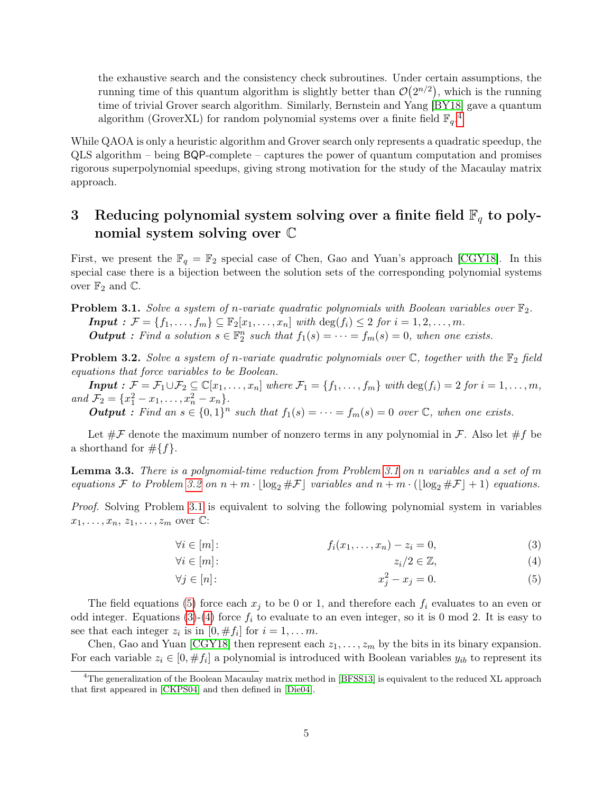the exhaustive search and the consistency check subroutines. Under certain assumptions, the running time of this quantum algorithm is slightly better than  $\mathcal{O}(2^{n/2})$ , which is the running time of trivial Grover search algorithm. Similarly, Bernstein and Yang [\[BY18\]](#page-22-7) gave a quantum algorithm (GroverXL) for random polynomial systems over a finite field  $\mathbb{F}_q$ .<sup>[4](#page-4-1)</sup>

While QAOA is only a heuristic algorithm and Grover search only represents a quadratic speedup, the QLS algorithm – being BQP-complete – captures the power of quantum computation and promises rigorous superpolynomial speedups, giving strong motivation for the study of the Macaulay matrix approach.

## 3 Reducing polynomial system solving over a finite field  $\mathbb{F}_q$  to polynomial system solving over C

First, we present the  $\mathbb{F}_q = \mathbb{F}_2$  special case of Chen, Gao and Yuan's approach [\[CGY18\]](#page-22-1). In this special case there is a bijection between the solution sets of the corresponding polynomial systems over  $\mathbb{F}_2$  and  $\mathbb{C}$ .

<span id="page-4-2"></span>**Problem 3.1.** Solve a system of n-variate quadratic polynomials with Boolean variables over  $\mathbb{F}_2$ . **Input** :  $\mathcal{F} = \{f_1, ..., f_m\} \subseteq \mathbb{F}_2[x_1, ..., x_n]$  with  $\deg(f_i) \leq 2$  for  $i = 1, 2, ..., m$ . **Output**: Find a solution  $s \in \mathbb{F}_2^n$  such that  $f_1(s) = \cdots = f_m(s) = 0$ , when one exists.

<span id="page-4-0"></span>**Problem 3.2.** Solve a system of n-variate quadratic polynomials over  $\mathbb{C}$ , together with the  $\mathbb{F}_2$  field equations that force variables to be Boolean.

**Input** :  $\mathcal{F} = \mathcal{F}_1 \cup \mathcal{F}_2 \subseteq \mathbb{C}[x_1, \ldots, x_n]$  where  $\mathcal{F}_1 = \{f_1, \ldots, f_m\}$  with  $\deg(f_i) = 2$  for  $i = 1, \ldots, m$ , and  $\mathcal{F}_2 = \{x_1^2 - x_1, \ldots, x_n^2 - x_n\}.$ 

**Output**: Find an  $s \in \{0,1\}^n$  such that  $f_1(s) = \cdots = f_m(s) = 0$  over  $\mathbb{C}$ , when one exists.

Let  $\#F$  denote the maximum number of nonzero terms in any polynomial in F. Also let  $\#f$  be a shorthand for  $\#\{f\}.$ 

<span id="page-4-6"></span>**Lemma 3.3.** There is a polynomial-time reduction from Problem [3.1](#page-4-2) on n variables and a set of m equations F to Problem [3.2](#page-4-0) on  $n + m \cdot |\log_2 \# \mathcal{F}|$  variables and  $n + m \cdot (|\log_2 \# \mathcal{F}| + 1)$  equations.

Proof. Solving Problem [3.1](#page-4-2) is equivalent to solving the following polynomial system in variables  $x_1, \ldots, x_n, z_1, \ldots, z_m$  over  $\mathbb{C}$ :

<span id="page-4-4"></span>
$$
\forall i \in [m]: \qquad f_i(x_1, \dots, x_n) - z_i = 0,\tag{3}
$$

<span id="page-4-5"></span>
$$
\forall i \in [m]: \qquad \qquad z_i/2 \in \mathbb{Z}, \tag{4}
$$

<span id="page-4-3"></span>
$$
\forall j \in [n]: \qquad \qquad x_j^2 - x_j = 0. \tag{5}
$$

The field equations [\(5\)](#page-4-3) force each  $x_j$  to be 0 or 1, and therefore each  $f_i$  evaluates to an even or odd integer. Equations [\(3\)](#page-4-4)-[\(4\)](#page-4-5) force  $f_i$  to evaluate to an even integer, so it is 0 mod 2. It is easy to see that each integer  $z_i$  is in  $[0, \# f_i]$  for  $i = 1, \ldots m$ .

Chen, Gao and Yuan [\[CGY18\]](#page-22-1) then represent each  $z_1, \ldots, z_m$  by the bits in its binary expansion. For each variable  $z_i \in [0, \#f_i]$  a polynomial is introduced with Boolean variables  $y_{ib}$  to represent its

<span id="page-4-1"></span><sup>&</sup>lt;sup>4</sup>The generalization of the Boolean Macaulay matrix method in [\[BFSS13\]](#page-22-5) is equivalent to the reduced XL approach that first appeared in [\[CKPS04\]](#page-22-3) and then defined in [\[Die04\]](#page-23-1).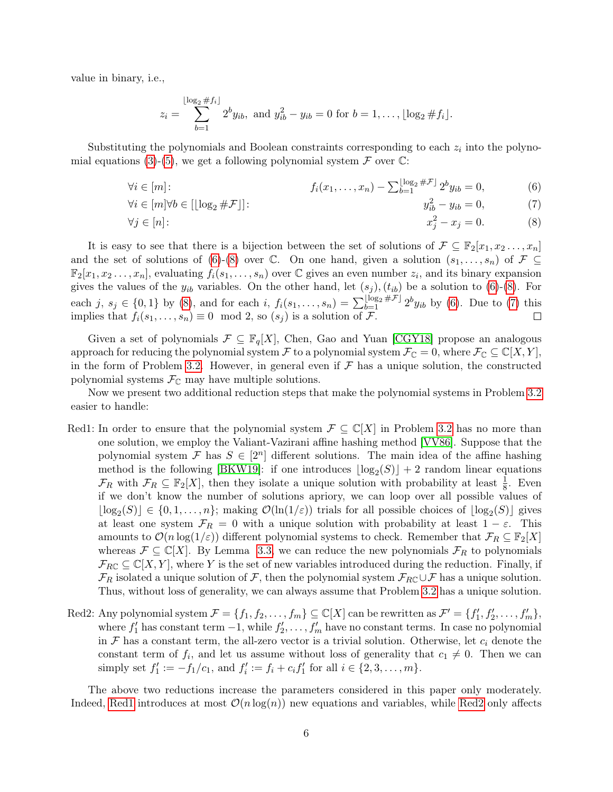value in binary, i.e.,

<span id="page-5-2"></span><span id="page-5-1"></span><span id="page-5-0"></span>
$$
z_i = \sum_{b=1}^{\lfloor \log_2 \# f_i \rfloor} 2^b y_{ib}, \text{ and } y_{ib}^2 - y_{ib} = 0 \text{ for } b = 1, \dots, \lfloor \log_2 \# f_i \rfloor.
$$

Substituting the polynomials and Boolean constraints corresponding to each  $z_i$  into the polyno-mial equations [\(3\)](#page-4-4)-[\(5\)](#page-4-3), we get a following polynomial system  $\mathcal F$  over  $\mathbb C$ :

$$
\forall i \in [m]: \qquad f_i(x_1, \dots, x_n) - \sum_{b=1}^{\lfloor \log_2 \# \mathcal{F} \rfloor} 2^b y_{ib} = 0,\tag{6}
$$

$$
\forall i \in [m] \forall b \in [\lfloor \log_2 \# \mathcal{F} \rfloor]: \qquad \qquad y_{ib}^2 - y_{ib} = 0,\tag{7}
$$

$$
\forall j \in [n]: \qquad \qquad x_j^2 - x_j = 0. \tag{8}
$$

It is easy to see that there is a bijection between the set of solutions of  $\mathcal{F} \subseteq \mathbb{F}_2[x_1, x_2, \ldots, x_n]$ and the set of solutions of [\(6\)](#page-5-0)-[\(8\)](#page-5-1) over  $\mathbb C$ . On one hand, given a solution  $(s_1, \ldots, s_n)$  of  $\mathcal F \subseteq$  $\mathbb{F}_2[x_1, x_2 \ldots, x_n]$ , evaluating  $f_i(s_1, \ldots, s_n)$  over  $\mathbb C$  gives an even number  $z_i$ , and its binary expansion gives the values of the  $y_{ib}$  variables. On the other hand, let  $(s_j)$ ,  $(t_{ib})$  be a solution to [\(6\)](#page-5-0)-[\(8\)](#page-5-1). For each j,  $s_j \in \{0,1\}$  by [\(8\)](#page-5-1), and for each i,  $f_i(s_1,...,s_n) = \sum_{b=1}^{\lfloor \log_2 \# \mathcal{F} \rfloor} 2^b y_{ib}$  by [\(6\)](#page-5-0). Due to [\(7\)](#page-5-2) this implies that  $f_i(s_1, \ldots, s_n) \equiv 0 \mod 2$ , so  $(s_j)$  is a solution of  $\mathcal{F}$ .

Given a set of polynomials  $\mathcal{F} \subseteq \mathbb{F}_q[X]$ , Chen, Gao and Yuan [\[CGY18\]](#page-22-1) propose an analogous approach for reducing the polynomial system F to a polynomial system  $\mathcal{F}_{\mathbb{C}} = 0$ , where  $\mathcal{F}_{\mathbb{C}} \subseteq \mathbb{C}[X, Y]$ , in the form of Problem [3.2.](#page-4-0) However, in general even if  $\mathcal F$  has a unique solution, the constructed polynomial systems  $\mathcal{F}_{\mathbb{C}}$  may have multiple solutions.

Now we present two additional reduction steps that make the polynomial systems in Problem [3.2](#page-4-0) easier to handle:

- <span id="page-5-3"></span>Red1: In order to ensure that the polynomial system  $\mathcal{F} \subseteq \mathbb{C}[X]$  in Problem [3.2](#page-4-0) has no more than one solution, we employ the Valiant-Vazirani affine hashing method [\[VV86\]](#page-24-1). Suppose that the polynomial system F has  $S \in [2^n]$  different solutions. The main idea of the affine hashing method is the following [\[BKW19\]](#page-22-8): if one introduces  $\lfloor \log_2(S) \rfloor + 2$  random linear equations  $\mathcal{F}_R$  with  $\mathcal{F}_R \subseteq \mathbb{F}_2[X]$ , then they isolate a unique solution with probability at least  $\frac{1}{8}$ . Even if we don't know the number of solutions apriory, we can loop over all possible values of  $\lfloor \log_2(S) \rfloor \in \{0, 1, \ldots, n\};$  making  $\mathcal{O}(\ln(1/\varepsilon))$  trials for all possible choices of  $\lfloor \log_2(S) \rfloor$  gives at least one system  $\mathcal{F}_R = 0$  with a unique solution with probability at least  $1 - \varepsilon$ . This amounts to  $\mathcal{O}(n \log(1/\varepsilon))$  different polynomial systems to check. Remember that  $\mathcal{F}_R \subseteq \mathbb{F}_2[X]$ whereas  $\mathcal{F} \subseteq \mathbb{C}[X]$ . By Lemma [3.3,](#page-4-6) we can reduce the new polynomials  $\mathcal{F}_R$  to polynomials  $\mathcal{F}_{RC} \subseteq \mathbb{C}[X, Y]$ , where Y is the set of new variables introduced during the reduction. Finally, if  $\mathcal{F}_R$  isolated a unique solution of F, then the polynomial system  $\mathcal{F}_{RC} \cup \mathcal{F}$  has a unique solution. Thus, without loss of generality, we can always assume that Problem [3.2](#page-4-0) has a unique solution.
- <span id="page-5-4"></span>Red2: Any polynomial system  $\mathcal{F} = \{f_1, f_2, \ldots, f_m\} \subseteq \mathbb{C}[X]$  can be rewritten as  $\mathcal{F}' = \{f'_1, f'_2, \ldots, f'_m\}$ , where  $f'_1$  has constant term  $-1$ , while  $f'_2, \ldots, f'_m$  have no constant terms. In case no polynomial in  $\mathcal F$  has a constant term, the all-zero vector is a trivial solution. Otherwise, let  $c_i$  denote the constant term of  $f_i$ , and let us assume without loss of generality that  $c_1 \neq 0$ . Then we can simply set  $f'_1 := -f_1/c_1$ , and  $f'_i := f_i + c_i f'_1$  for all  $i \in \{2, 3, ..., m\}$ .

The above two reductions increase the parameters considered in this paper only moderately. Indeed, [Red1](#page-5-3) introduces at most  $\mathcal{O}(n \log(n))$  new equations and variables, while [Red2](#page-5-4) only affects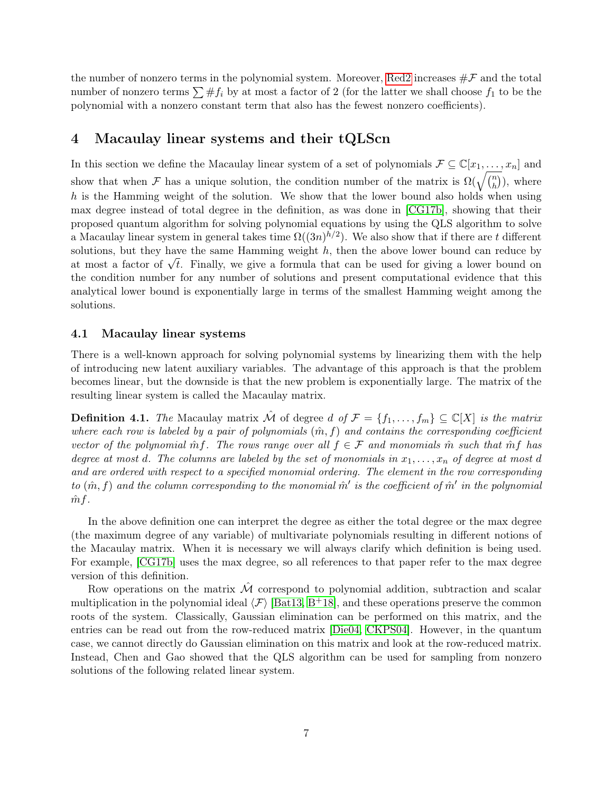the number of nonzero terms in the polynomial system. Moreover, [Red2](#page-5-4) increases  $\#\mathcal{F}$  and the total number of nonzero terms  $\sum #f_i$  by at most a factor of 2 (for the latter we shall choose  $f_1$  to be the polynomial with a nonzero constant term that also has the fewest nonzero coefficients).

### 4 Macaulay linear systems and their tQLScn

In this section we define the Macaulay linear system of a set of polynomials  $\mathcal{F} \subseteq \mathbb{C}[x_1,\ldots,x_n]$  and show that when F has a unique solution, the condition number of the matrix is  $\Omega(\sqrt{\binom{n}{h}})$  $\binom{n}{h}$ , where h is the Hamming weight of the solution. We show that the lower bound also holds when using max degree instead of total degree in the definition, as was done in [\[CG17b\]](#page-22-0), showing that their proposed quantum algorithm for solving polynomial equations by using the QLS algorithm to solve a Macaulay linear system in general takes time  $\Omega((3n)^{h/2})$ . We also show that if there are t different solutions, but they have the same Hamming weight  $h$ , then the above lower bound can reduce by solutions, but they have the same riamming weight h, then the above lower bound can reduce by<br>at most a factor of  $\sqrt{t}$ . Finally, we give a formula that can be used for giving a lower bound on the condition number for any number of solutions and present computational evidence that this analytical lower bound is exponentially large in terms of the smallest Hamming weight among the solutions.

#### 4.1 Macaulay linear systems

There is a well-known approach for solving polynomial systems by linearizing them with the help of introducing new latent auxiliary variables. The advantage of this approach is that the problem becomes linear, but the downside is that the new problem is exponentially large. The matrix of the resulting linear system is called the Macaulay matrix.

**Definition 4.1.** The Macaulay matrix  $\hat{\mathcal{M}}$  of degree d of  $\mathcal{F} = \{f_1, \ldots, f_m\} \subseteq \mathbb{C}[X]$  is the matrix where each row is labeled by a pair of polynomials  $(\hat{m}, f)$  and contains the corresponding coefficient vector of the polynomial m $f$ . The rows range over all  $f \in \mathcal{F}$  and monomials m such that m $f$  has degree at most d. The columns are labeled by the set of monomials in  $x_1, \ldots, x_n$  of degree at most d and are ordered with respect to a specified monomial ordering. The element in the row corresponding to  $(\hat{m}, f)$  and the column corresponding to the monomial  $\hat{m}'$  is the coefficient of  $\hat{m}'$  in the polynomial  $\hat{m}f$ .

In the above definition one can interpret the degree as either the total degree or the max degree (the maximum degree of any variable) of multivariate polynomials resulting in different notions of the Macaulay matrix. When it is necessary we will always clarify which definition is being used. For example, [\[CG17b\]](#page-22-0) uses the max degree, so all references to that paper refer to the max degree version of this definition.

Row operations on the matrix  $\hat{\mathcal{M}}$  correspond to polynomial addition, subtraction and scalar multiplication in the polynomial ideal  $\langle F \rangle$  [\[Bat13,](#page-21-5) B<sup>+</sup>[18\]](#page-21-6), and these operations preserve the common roots of the system. Classically, Gaussian elimination can be performed on this matrix, and the entries can be read out from the row-reduced matrix [\[Die04,](#page-23-1) [CKPS04\]](#page-22-3). However, in the quantum case, we cannot directly do Gaussian elimination on this matrix and look at the row-reduced matrix. Instead, Chen and Gao showed that the QLS algorithm can be used for sampling from nonzero solutions of the following related linear system.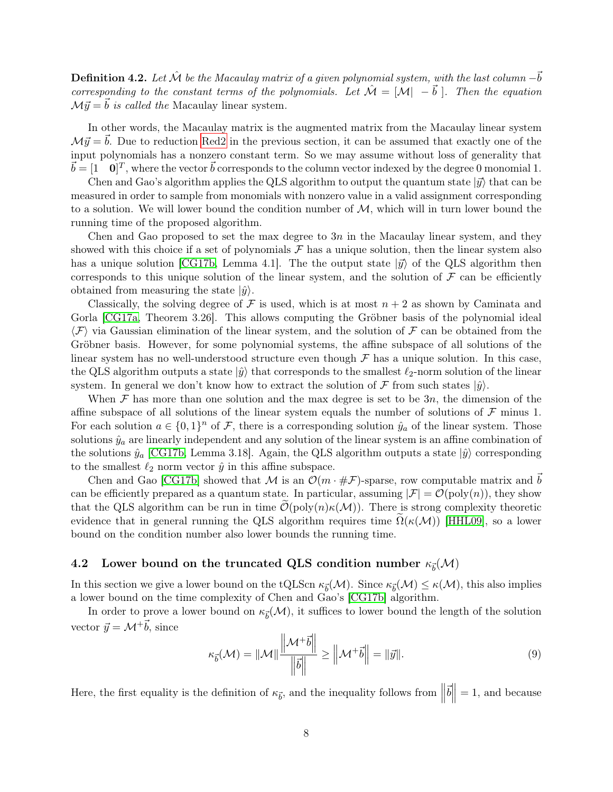**Definition 4.2.** Let  $\hat{\mathcal{M}}$  be the Macaulay matrix of a given polynomial system, with the last column  $-\vec{b}$ corresponding to the constant terms of the polynomials. Let  $\mathcal{\hat{M}} = [\mathcal{M}] - \vec{b}$ . Then the equation  $\mathcal{M}\vec{y} = \vec{b}$  is called the Macaulay linear system.

In other words, the Macaulay matrix is the augmented matrix from the Macaulay linear system  $\mathcal{M}\vec{y} = \vec{b}$ . Due to reduction [Red2](#page-5-4) in the previous section, it can be assumed that exactly one of the input polynomials has a nonzero constant term. So we may assume without loss of generality that  $\vec{b} = [1 \quad 0]^T$ , where the vector  $\vec{b}$  corresponds to the column vector indexed by the degree 0 monomial 1.

Chen and Gao's algorithm applies the QLS algorithm to output the quantum state  $|\vec{y}\rangle$  that can be measured in order to sample from monomials with nonzero value in a valid assignment corresponding to a solution. We will lower bound the condition number of  $M$ , which will in turn lower bound the running time of the proposed algorithm.

Chen and Gao proposed to set the max degree to  $3n$  in the Macaulay linear system, and they showed with this choice if a set of polynomials  $\mathcal F$  has a unique solution, then the linear system also has a unique solution [\[CG17b,](#page-22-0) Lemma 4.1]. The the output state  $|\vec{y}\rangle$  of the QLS algorithm then corresponds to this unique solution of the linear system, and the solution of  $\mathcal F$  can be efficiently obtained from measuring the state  $|\hat{y}\rangle$ .

Classically, the solving degree of F is used, which is at most  $n + 2$  as shown by Caminata and Gorla [\[CG17a,](#page-22-2) Theorem 3.26]. This allows computing the Gröbner basis of the polynomial ideal  $\langle \mathcal{F} \rangle$  via Gaussian elimination of the linear system, and the solution of  $\mathcal{F}$  can be obtained from the Gröbner basis. However, for some polynomial systems, the affine subspace of all solutions of the linear system has no well-understood structure even though  $\mathcal F$  has a unique solution. In this case, the QLS algorithm outputs a state  $|\hat{y}\rangle$  that corresponds to the smallest  $\ell_2$ -norm solution of the linear system. In general we don't know how to extract the solution of  $\mathcal F$  from such states  $|\hat{y}\rangle$ .

When  $\mathcal F$  has more than one solution and the max degree is set to be  $3n$ , the dimension of the affine subspace of all solutions of the linear system equals the number of solutions of  $\mathcal F$  minus 1. For each solution  $a \in \{0,1\}^n$  of F, there is a corresponding solution  $\hat{y}_a$  of the linear system. Those solutions  $\hat{y}_a$  are linearly independent and any solution of the linear system is an affine combination of the solutions  $\hat{y}_a$  [\[CG17b,](#page-22-0) Lemma 3.18]. Again, the QLS algorithm outputs a state  $|\hat{y}\rangle$  corresponding to the smallest  $\ell_2$  norm vector  $\hat{y}$  in this affine subspace.

Chen and Gao [\[CG17b\]](#page-22-0) showed that M is an  $\mathcal{O}(m \cdot \#\mathcal{F})$ -sparse, row computable matrix and b can be efficiently prepared as a quantum state. In particular, assuming  $|\mathcal{F}| = \mathcal{O}(\text{poly}(n))$ , they show that the QLS algorithm can be run in time  $\mathcal{O}(\text{poly}(n)\kappa(\mathcal{M}))$ . There is strong complexity theoretic evidence that in general running the QLS algorithm requires time  $\Omega(\kappa(M))$  [\[HHL09\]](#page-23-3), so a lower bound on the condition number also lower bounds the running time.

### 4.2 Lower bound on the truncated QLS condition number  $\kappa_{\vec{b}}(\mathcal{M})$

In this section we give a lower bound on the tQLScn  $\kappa_{\vec{b}}(\mathcal{M})$ . Since  $\kappa_{\vec{b}}(\mathcal{M}) \leq \kappa(\mathcal{M})$ , this also implies a lower bound on the time complexity of Chen and Gao's [\[CG17b\]](#page-22-0) algorithm.

In order to prove a lower bound on  $\kappa_{\vec{b}}(\mathcal{M})$ , it suffices to lower bound the length of the solution vector  $\vec{y} = \mathcal{M}^+ \vec{b}$ , since

<span id="page-7-0"></span>
$$
\kappa_{\vec{b}}(\mathcal{M}) = ||\mathcal{M}|| \frac{||\mathcal{M}^+ \vec{b}||}{||\vec{b}||} \ge ||\mathcal{M}^+ \vec{b}|| = ||\vec{y}||. \tag{9}
$$

Here, the first equality is the definition of  $\kappa_{\vec{b}}$ , and the inequality follows from  $\|\$  $\vec{b}$  $= 1$ , and because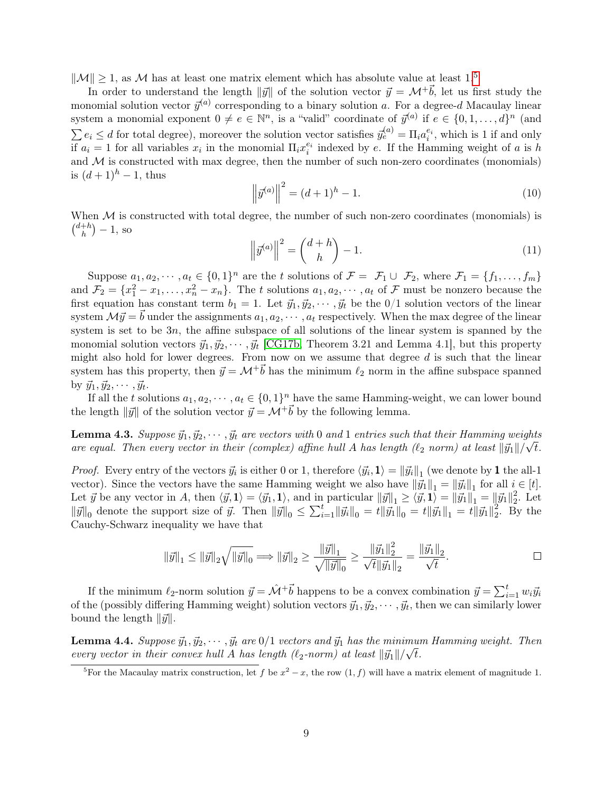$\|\mathcal{M}\| \geq 1$ , as M has at least one matrix element which has absolute value at least 1.<sup>[5](#page-8-0)</sup>

In order to understand the length  $\|\vec{y}\|$  of the solution vector  $\vec{y} = \mathcal{M}^+ \vec{b}$ , let us first study the monomial solution vector  $\vec{y}^{(a)}$  corresponding to a binary solution a. For a degree-d Macaulay linear system a monomial exponent  $0 \neq e \in \mathbb{N}^n$ , is a "valid" coordinate of  $\vec{y}^{(a)}$  if  $e \in \{0, 1, \ldots, d\}^n$  (and  $\sum e_i \leq d$  for total degree), moreover the solution vector satisfies  $\vec{y}_e^{(a)} = \Pi_i a_i^{e_i}$ , which is 1 if and only if  $a_i = 1$  for all variables  $x_i$  in the monomial  $\Pi_i x_i^{e_i}$  indexed by e. If the Hamming weight of a is h and  $M$  is constructed with max degree, then the number of such non-zero coordinates (monomials) is  $(d+1)^h - 1$ , thus

<span id="page-8-1"></span>
$$
\left\| \vec{y}^{(a)} \right\|^2 = (d+1)^h - 1.
$$
 (10)

<span id="page-8-2"></span>When  $\mathcal M$  is constructed with total degree, the number of such non-zero coordinates (monomials) is  $\binom{d+h}{h}$  $\binom{+h}{h} - 1$ , so

$$
\left\|\vec{y}^{(a)}\right\|^2 = \binom{d+h}{h} - 1.\tag{11}
$$

Suppose  $a_1, a_2, \dots, a_t \in \{0, 1\}^n$  are the t solutions of  $\mathcal{F} = \mathcal{F}_1 \cup \mathcal{F}_2$ , where  $\mathcal{F}_1 = \{f_1, \dots, f_m\}$ and  $\mathcal{F}_2 = \{x_1^2 - x_1, \ldots, x_n^2 - x_n\}$ . The t solutions  $a_1, a_2, \cdots, a_t$  of  $\mathcal{F}$  must be nonzero because the first equation has constant term  $b_1 = 1$ . Let  $\vec{y}_1, \vec{y}_2, \cdots, \vec{y}_t$  be the  $0/1$  solution vectors of the linear system  $\mathcal{M}\vec{y} = \vec{b}$  under the assignments  $a_1, a_2, \dots, a_t$  respectively. When the max degree of the linear system is set to be 3n, the affine subspace of all solutions of the linear system is spanned by the monomial solution vectors  $\vec{y}_1, \vec{y}_2, \cdots, \vec{y}_t$  [\[CG17b,](#page-22-0) Theorem 3.21 and Lemma 4.1], but this property might also hold for lower degrees. From now on we assume that degree  $d$  is such that the linear system has this property, then  $\vec{y} = \mathcal{M}^+ \vec{b}$  has the minimum  $\ell_2$  norm in the affine subspace spanned by  $\vec{y}_1, \vec{y}_2, \cdots, \vec{y}_t$ .

If all the t solutions  $a_1, a_2, \dots, a_t \in \{0, 1\}^n$  have the same Hamming-weight, we can lower bound the length  $\|\vec{y}\|$  of the solution vector  $\vec{y} = \mathcal{M}^+\vec{b}$  by the following lemma.

<span id="page-8-3"></span>**Lemma 4.3.** Suppose  $\vec{y}_1, \vec{y}_2, \dots, \vec{y}_t$  are vectors with 0 and 1 entries such that their Hamming weights are equal. Then every vector in their (complex) affine hull A has length ( $\ell_2$  norm) at least  $\|\vec{y}_1\|/\sqrt{t}$ .

*Proof.* Every entry of the vectors  $\vec{y}_i$  is either 0 or 1, therefore  $\langle \vec{y}_i, \mathbf{1} \rangle = ||\vec{y}_i||_1$  (we denote by 1 the all-1 vector). Since the vectors have the same Hamming weight we also have  $\|\vec{y}_1\|_1 = \|\vec{y}_i\|_1$  for all  $i \in [t]$ . Let  $\vec{y}$  be any vector in A, then  $\langle \vec{y}, \mathbf{1} \rangle = \langle \vec{y}_1, \mathbf{1} \rangle$ , and in particular  $\|\vec{y}\|_1 \ge \langle \vec{y}, \mathbf{1} \rangle = \|\vec{y}_1\|_1 = \|\vec{y}_1\|_2^2$  $\frac{2}{2}$ . Let  $\|\vec{y}\|_0$  denote the support size of  $\vec{y}$ . Then  $\|\vec{y}\|_0 \le \sum_{i=1}^t \|\vec{y}_i\|_0 = t \|\vec{y}_1\|_0 = t \|\vec{y}_1\|_1 = t \|\vec{y}_1\|_2^2$  $\frac{2}{2}$ . By the Cauchy-Schwarz inequality we have that

$$
\|\vec{y}\|_1 \le \|\vec{y}\|_2 \sqrt{\|\vec{y}\|_0} \Longrightarrow \|\vec{y}\|_2 \ge \frac{\|\vec{y}\|_1}{\sqrt{\|\vec{y}\|_0}} \ge \frac{\|\vec{y}_1\|_2^2}{\sqrt{t} \|\vec{y}_1\|_2} = \frac{\|\vec{y}_1\|_2}{\sqrt{t}}.
$$

If the minimum  $\ell_2$ -norm solution  $\vec{y} = \hat{\mathcal{M}} + \vec{b}$  happens to be a convex combination  $\vec{y} = \sum_{i=1}^{t} w_i \vec{y}_i$ of the (possibly differing Hamming weight) solution vectors  $\vec{y}_1, \vec{y}_2, \cdots, \vec{y}_t$ , then we can similarly lower bound the length  $\|\vec{y}\|$ .

<span id="page-8-4"></span>**Lemma 4.4.** Suppose  $\vec{y}_1, \vec{y}_2, \cdots, \vec{y}_t$  are  $0/1$  vectors and  $\vec{y}_1$  has the minimum Hamming weight. Then every vector in their convex hull A has length ( $\ell_2$ -norm) at least  $\|\vec{y}_1\|/\sqrt{t}$ .

<span id="page-8-0"></span><sup>&</sup>lt;sup>5</sup>For the Macaulay matrix construction, let f be  $x^2 - x$ , the row  $(1, f)$  will have a matrix element of magnitude 1.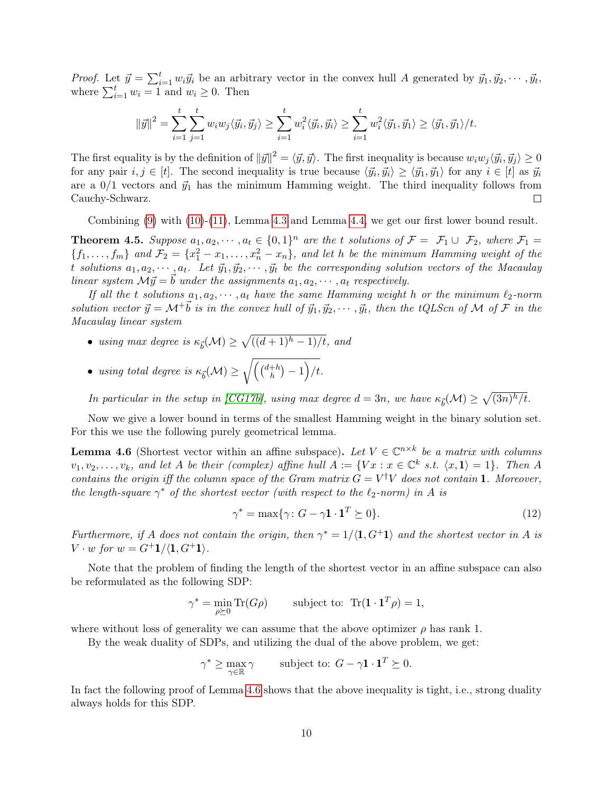*Proof.* Let  $\vec{y} = \sum_{i=1}^{t} w_i \vec{y}_i$  be an arbitrary vector in the convex hull A generated by  $\vec{y}_1, \vec{y}_2, \cdots, \vec{y}_t$ , where  $\sum_{i=1}^{t} w_i = 1$  and  $w_i \geq 0$ . Then

$$
\|\vec{y}\|^2 = \sum_{i=1}^t \sum_{j=1}^t w_i w_j \langle \vec{y}_i, \vec{y}_j \rangle \ge \sum_{i=1}^t w_i^2 \langle \vec{y}_i, \vec{y}_i \rangle \ge \sum_{i=1}^t w_i^2 \langle \vec{y}_1, \vec{y}_1 \rangle \ge \langle \vec{y}_1, \vec{y}_1 \rangle / t.
$$

The first equality is by the definition of  $||\vec{y}||^2 = \langle \vec{y}, \vec{y} \rangle$ . The first inequality is because  $w_i w_j \langle \vec{y}_i, \vec{y}_j \rangle \ge 0$ for any pair  $i, j \in [t]$ . The second inequality is true because  $\langle \vec{y}_i, \vec{y}_i \rangle \geq \langle \vec{y}_1, \vec{y}_1 \rangle$  for any  $i \in [t]$  as  $\vec{y}_i$ are a  $0/1$  vectors and  $\vec{y}_1$  has the minimum Hamming weight. The third inequality follows from Cauchy-Schwarz.  $\Box$ 

Combining [\(9\)](#page-7-0) with [\(10\)](#page-8-1)-[\(11\)](#page-8-2), Lemma [4.3](#page-8-3) and Lemma [4.4,](#page-8-4) we get our first lower bound result.

<span id="page-9-2"></span>**Theorem 4.5.** Suppose  $a_1, a_2, \dots, a_t \in \{0, 1\}^n$  are the t solutions of  $\mathcal{F} = \mathcal{F}_1 \cup \mathcal{F}_2$ , where  $\mathcal{F}_1 =$  $\{f_1,\ldots,f_m\}$  and  $\mathcal{F}_2=\{x_1^2-x_1,\ldots,x_n^2-x_n\}$ , and let h be the minimum Hamming weight of the t solutions  $a_1, a_2, \dots, a_t$ . Let  $\vec{y}_1, \vec{y}_2, \dots, \vec{y}_t$  be the corresponding solution vectors of the Macaulay linear system  $\mathcal{M}\vec{y} = \vec{b}$  under the assignments  $a_1, a_2, \cdots, a_t$  respectively.

If all the t solutions  $a_1, a_2, \dots, a_t$  have the same Hamming weight h or the minimum  $\ell_2$ -norm solution vector  $\vec{y} = \mathcal{M}^+ \vec{b}$  is in the convex hull of  $\vec{y}_1, \vec{y}_2, \cdots, \vec{y}_t$ , then the tQLScn of M of F in the Macaulay linear system

- using max degree is  $\kappa_{\vec{b}}(\mathcal{M}) \geq \sqrt{((d+1)^h 1)/t}$ , and
- using total degree is  $\kappa_{\vec{b}}(\mathcal{M}) \geq \sqrt{\left(\binom{d+h}{h}\right)}$  $\binom{+h}{h} - 1$  /t.

In particular in the setup in [\[CG17b\]](#page-22-0), using max degree  $d = 3n$ , we have  $\kappa_{\vec{b}}(\mathcal{M}) \geq \sqrt{(3n)^h/t}$ .

Now we give a lower bound in terms of the smallest Hamming weight in the binary solution set. For this we use the following purely geometrical lemma.

<span id="page-9-0"></span>**Lemma 4.6** (Shortest vector within an affine subspace). Let  $V \in \mathbb{C}^{n \times k}$  be a matrix with columns  $v_1, v_2, \ldots, v_k$ , and let A be their (complex) affine hull  $A := \{ Vx : x \in \mathbb{C}^k \text{ s.t. } \langle x, 1 \rangle = 1 \}.$  Then A contains the origin iff the column space of the Gram matrix  $G = V^{\dagger}V$  does not contain 1. Moreover, the length-square  $\gamma^*$  of the shortest vector (with respect to the  $\ell_2\text{-norm}$ ) in A is

<span id="page-9-1"></span>
$$
\gamma^* = \max{\gamma : G - \gamma \mathbf{1} \cdot \mathbf{1}^T \succeq 0}.
$$
\n(12)

Furthermore, if A does not contain the origin, then  $\gamma^* = 1/\langle 1, G^+1 \rangle$  and the shortest vector in A is  $V \cdot w$  for  $w = G^+1/\langle 1, G^+1 \rangle$ .

Note that the problem of finding the length of the shortest vector in an affine subspace can also be reformulated as the following SDP:

$$
\gamma^* = \min_{\rho \succeq 0} \operatorname{Tr}(G\rho) \qquad \text{subject to: } \operatorname{Tr}(\mathbf{1} \cdot \mathbf{1}^T \rho) = 1,
$$

where without loss of generality we can assume that the above optimizer  $\rho$  has rank 1.

By the weak duality of SDPs, and utilizing the dual of the above problem, we get:

$$
\gamma^* \geq \max_{\gamma \in \mathbb{R}} \gamma \qquad \text{subject to: } G - \gamma \mathbf{1} \cdot \mathbf{1}^T \succeq 0.
$$

In fact the following proof of Lemma [4.6](#page-9-0) shows that the above inequality is tight, i.e., strong duality always holds for this SDP.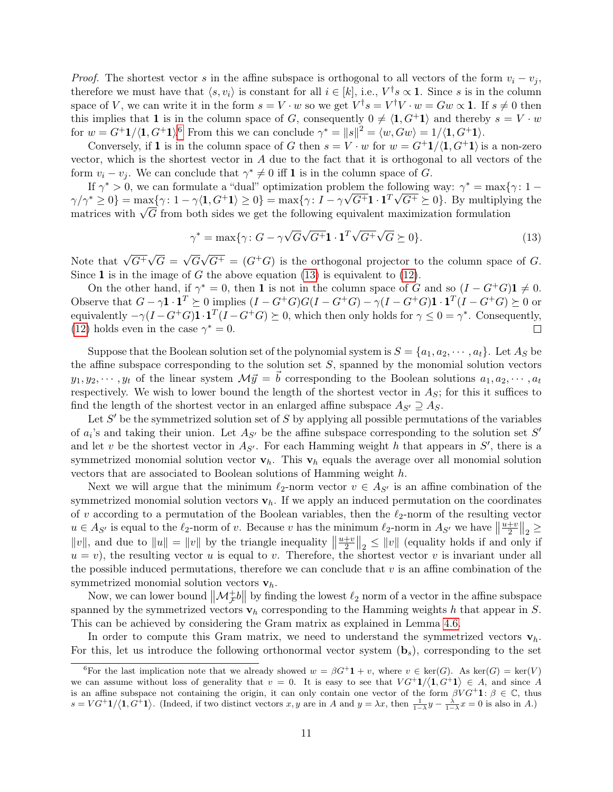*Proof.* The shortest vector s in the affine subspace is orthogonal to all vectors of the form  $v_i - v_j$ , therefore we must have that  $\langle s, v_i \rangle$  is constant for all  $i \in [k]$ , i.e.,  $V^{\dagger} s \propto \mathbf{1}$ . Since s is in the column space of V, we can write it in the form  $s = V \cdot w$  so we get  $V^{\dagger} s = V^{\dagger} V \cdot w = G w \propto 1$ . If  $s \neq 0$  then this implies that 1 is in the column space of G, consequently  $0 \neq \langle 1, G^+1 \rangle$  and thereby  $s = V \cdot w$ for  $w = G^+ \mathbf{1} / \langle \mathbf{1}, G^+ \mathbf{1} \rangle^6$  $w = G^+ \mathbf{1} / \langle \mathbf{1}, G^+ \mathbf{1} \rangle^6$  From this we can conclude  $\gamma^* = ||s||^2 = \langle w, Gw \rangle = \mathbf{1} / \langle \mathbf{1}, G^+ \mathbf{1} \rangle$ .

Conversely, if 1 is in the column space of G then  $s = V \cdot w$  for  $w = G^+1/\langle 1, G^+1 \rangle$  is a non-zero vector, which is the shortest vector in  $A$  due to the fact that it is orthogonal to all vectors of the form  $v_i - v_j$ . We can conclude that  $\gamma^* \neq 0$  iff **1** is in the column space of G.

If  $\gamma^* > 0$ , we can formulate a "dual" optimization problem the following way:  $\gamma^* = \max\{\gamma: 1-\gamma\}$  $\gamma/\gamma^* \geq 0$ } = max $\{\gamma: 1 - \gamma\langle 1, G^+1 \rangle \geq 0\}$  = max $\{\gamma: I - \gamma\sqrt{G^+}1 \cdot 1^T\sqrt{G^+} \succeq 0\}$ . By multiplying the  $\gamma/\gamma' \geq 0$  = max $\{\gamma : 1 - \gamma \langle \mathbf{I}, \mathbf{G}^T \mathbf{I} \rangle \geq 0\}$  = max $\{\gamma : 1 - \gamma \nabla \mathbf{G}^T \mathbf{I} \cdot \mathbf{I}^T \nabla \mathbf{G}^T \geq 0\}$ . By multiplyifultion formulation formulation formulation

<span id="page-10-1"></span>
$$
\gamma^* = \max\{\gamma \colon G - \gamma \sqrt{G} \sqrt{G^+} \mathbf{1} \cdot \mathbf{1}^T \sqrt{G^+} \sqrt{G} \succeq 0\}.
$$
\n(13)

Note that  $\sqrt{G^+}$ √  $G =$ √ G  $\sqrt{G^+} = (G^+G)$  is the orthogonal projector to the column space of G. Since 1 is in the image of  $G$  the above equation [\(13\)](#page-10-1) is equivalent to [\(12\)](#page-9-1).

On the other hand, if  $\gamma^* = 0$ , then 1 is not in the column space of G and so  $(I - G^+G)\mathbf{1} \neq 0$ . Observe that  $G - \gamma \mathbf{1} \cdot \mathbf{1}^T \succeq 0$  implies  $(I - G^+G)G(I - G^+G) - \gamma(I - G^+G)\mathbf{1} \cdot \mathbf{1}^T(I - G^+G) \succeq 0$  or equivalently  $-\gamma(I - G^+G)\mathbf{1} \cdot \mathbf{1}^T(I - G^+G) \succeq 0$ , which then only holds for  $\gamma \leq 0 = \gamma^*$ . Consequently, [\(12\)](#page-9-1) holds even in the case  $\gamma^* = 0$ . П

Suppose that the Boolean solution set of the polynomial system is  $S = \{a_1, a_2, \dots, a_t\}$ . Let  $A_S$  be the affine subspace corresponding to the solution set  $S$ , spanned by the monomial solution vectors  $y_1, y_2, \dots, y_t$  of the linear system  $\mathcal{M}\vec{y} = \vec{b}$  corresponding to the Boolean solutions  $a_1, a_2, \dots, a_t$ respectively. We wish to lower bound the length of the shortest vector in  $A<sub>S</sub>$ ; for this it suffices to find the length of the shortest vector in an enlarged affine subspace  $A_{S'} \supseteq A_{S}$ .

Let  $S'$  be the symmetrized solution set of  $S$  by applying all possible permutations of the variables of  $a_i$ 's and taking their union. Let  $A_{S'}$  be the affine subspace corresponding to the solution set  $S'$ and let v be the shortest vector in  $A_{S'}$ . For each Hamming weight h that appears in  $S'$ , there is a symmetrized monomial solution vector  $v_h$ . This  $v_h$  equals the average over all monomial solution vectors that are associated to Boolean solutions of Hamming weight h.

Next we will argue that the minimum  $\ell_2$ -norm vector  $v \in A_{S'}$  is an affine combination of the symmetrized monomial solution vectors  $\mathbf{v}_h$ . If we apply an induced permutation on the coordinates of v according to a permutation of the Boolean variables, then the  $\ell_2$ -norm of the resulting vector  $u \in A_{S'}$  is equal to the  $\ell_2$ -norm of v. Because v has the minimum  $\ell_2$ -norm in  $A_{S'}$  we have  $\left\|\frac{u+v}{2}\right\|_2 \geq$  $u \in Ag'$  is equal to the  $\epsilon_2$ -norm of v. Because v has the minimum  $\epsilon_2$ -norm in  $Ag'$  we have  $||\frac{1}{2}||_2 \le ||v||$ , and due to  $||u|| = ||v||$  by the triangle inequality  $||\frac{u+v}{2}||_2 \le ||v||$  (equality holds if and only if  $u = v$ , the resulting vector u is equal to v. Therefore, the shortest vector v is invariant under all the possible induced permutations, therefore we can conclude that  $v$  is an affine combination of the symmetrized monomial solution vectors  $\mathbf{v}_h$ .

Now, we can lower bound  $\|\mathcal{M}_{\mathcal{F}}^+\mathbf{b}\|$  by finding the lowest  $\ell_2$  norm of a vector in the affine subspace spanned by the symmetrized vectors  $\mathbf{v}_h$  corresponding to the Hamming weights h that appear in S. This can be achieved by considering the Gram matrix as explained in Lemma [4.6.](#page-9-0)

In order to compute this Gram matrix, we need to understand the symmetrized vectors  $\mathbf{v}_h$ . For this, let us introduce the following orthonormal vector system  $(b_s)$ , corresponding to the set

<span id="page-10-0"></span><sup>&</sup>lt;sup>6</sup>For the last implication note that we already showed  $w = \beta G^{\dagger} 1 + v$ , where  $v \in \text{ker}(G)$ . As  $\text{ker}(G) = \text{ker}(V)$ we can assume without loss of generality that  $v = 0$ . It is easy to see that  $VG^{+1}(\mathbf{1}, G^{+1}) \in A$ , and since A is an affine subspace not containing the origin, it can only contain one vector of the form  $\beta V G^+ 1: \beta \in \mathbb{C}$ , thus  $s = VG^+1/\langle 1, G^+1 \rangle$ . (Indeed, if two distinct vectors x, y are in A and  $y = \lambda x$ , then  $\frac{1}{1-\lambda}y - \frac{\lambda}{1-\lambda}x = 0$  is also in A.)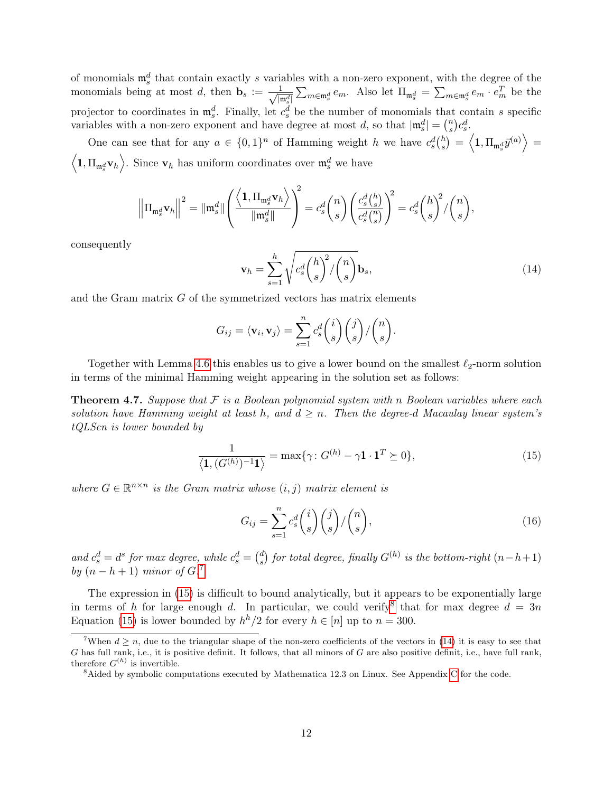of monomials  $\mathfrak{m}_s^d$  that contain exactly s variables with a non-zero exponent, with the degree of the monomials being at most d, then  $\mathbf{b}_s := \frac{1}{\sqrt{n}}$  $\frac{1}{|\mathfrak{m}_s^d|} \sum_{m \in \mathfrak{m}_s^d} e_m$ . Also let  $\Pi_{\mathfrak{m}_s^d} = \sum_{m \in \mathfrak{m}_s^d} e_m \cdot e_m^T$  be the projector to coordinates in  $\mathfrak{m}_s^d$ . Finally, let  $c_s^d$  be the number of monomials that contain s specific variables with a non-zero exponent and have degree at most d, so that  $|\mathfrak{m}_s^d| = \binom{n}{s}$  $\binom{n}{s}c_s^d.$ 

One can see that for any  $a \in \{0,1\}^n$  of Hamming weight h we have  $c_s^d\binom{h}{s}$  $\left\langle k_s \right\rangle \, = \, \left\langle 1, \Pi_{\mathfrak{m}^d_s} \vec{y}^{(a)} \right\rangle \, = \,$  $\left\langle \mathbf{1},\Pi_{\mathfrak{m}_s^d}\mathbf{v}_h\right\rangle$ . Since  $\mathbf{v}_h$  has uniform coordinates over  $\mathfrak{m}_s^d$  we have

<span id="page-11-3"></span>
$$
\left\|\Pi_{\mathfrak{m}^d_s}\mathbf{v}_h\right\|^2 = \|\mathfrak{m}^d_s\| \left(\frac{\left<1,\Pi_{\mathfrak{m}^d_s}\mathbf{v}_h\right>}{\|\mathfrak{m}^d_s\|}\right)^2 = c_s^d \binom{n}{s} \left(\frac{c_s^d \binom{h}{s}}{c_s^d \binom{n}{s}}\right)^2 = c_s^d \binom{h}{s}^2 / \binom{n}{s},
$$

consequently

$$
\mathbf{v}_h = \sum_{s=1}^h \sqrt{c_s^d \binom{h}{s}^2 / \binom{n}{s}} \mathbf{b}_s,\tag{14}
$$

and the Gram matrix  $G$  of the symmetrized vectors has matrix elements

$$
G_{ij} = \langle \mathbf{v}_i, \mathbf{v}_j \rangle = \sum_{s=1}^n c_s^d \binom{i}{s} \binom{j}{s} / \binom{n}{s}.
$$

Together with Lemma [4.6](#page-9-0) this enables us to give a lower bound on the smallest  $\ell_2$ -norm solution in terms of the minimal Hamming weight appearing in the solution set as follows:

**Theorem 4.7.** Suppose that  $F$  is a Boolean polynomial system with n Boolean variables where each solution have Hamming weight at least h, and  $d \geq n$ . Then the degree-d Macaulay linear system's tQLScn is lower bounded by

<span id="page-11-1"></span>
$$
\frac{1}{\langle \mathbf{1}, (G^{(h)})^{-1} \mathbf{1} \rangle} = \max \{ \gamma \colon G^{(h)} - \gamma \mathbf{1} \cdot \mathbf{1}^T \succeq 0 \},\tag{15}
$$

where  $G \in \mathbb{R}^{n \times n}$  is the Gram matrix whose  $(i, j)$  matrix element is

$$
G_{ij} = \sum_{s=1}^{n} c_s^d \binom{i}{s} \binom{j}{s} / \binom{n}{s},\tag{16}
$$

and  $c_s^d = d^s$  for max degree, while  $c_s^d = \binom{d}{s}$  $\sigma_s^d$ ) for total degree, finally  $G^{(h)}$  is the bottom-right  $(n-h+1)$ by  $(n-h+1)$  minor of  $G$ .<sup>[7](#page-11-0)</sup>

The expression in [\(15\)](#page-11-1) is difficult to bound analytically, but it appears to be exponentially large in terms of h for large enough d. In particular, we could verify that for max degree  $d = 3n$ Equation [\(15\)](#page-11-1) is lower bounded by  $h^h/2$  for every  $h \in [n]$  up to  $n = 300$ .

<span id="page-11-0"></span><sup>&</sup>lt;sup>7</sup>When  $d > n$ , due to the triangular shape of the non-zero coefficients of the vectors in [\(14\)](#page-11-3) it is easy to see that  $G$  has full rank, i.e., it is positive definit. It follows, that all minors of  $G$  are also positive definit, i.e., have full rank, therefore  $G^{(h)}$  is invertible.

<span id="page-11-2"></span><sup>&</sup>lt;sup>8</sup>Aided by symbolic computations executed by Mathematica 12.3 on Linux. See Appendix [C](#page-26-0) for the code.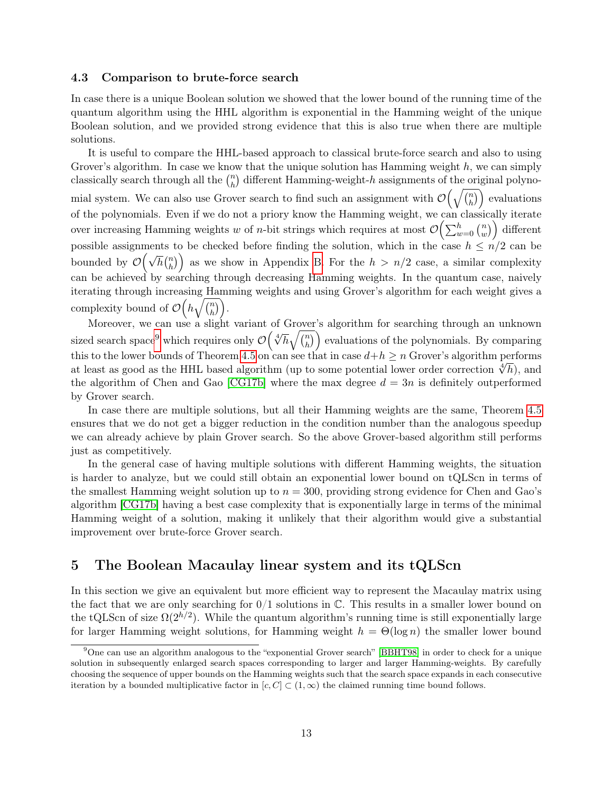#### <span id="page-12-1"></span>4.3 Comparison to brute-force search

In case there is a unique Boolean solution we showed that the lower bound of the running time of the quantum algorithm using the HHL algorithm is exponential in the Hamming weight of the unique Boolean solution, and we provided strong evidence that this is also true when there are multiple solutions.

It is useful to compare the HHL-based approach to classical brute-force search and also to using Grover's algorithm. In case we know that the unique solution has Hamming weight  $h$ , we can simply classically search through all the  $\binom{n}{b}$  $\binom{n}{h}$  different Hamming-weight-h assignments of the original polynomial system. We can also use Grover search to find such an assignment with  $\mathcal{O}(\sqrt{\binom{n}{h}})$  $\binom{n}{h}$  evaluations of the polynomials. Even if we do not a priory know the Hamming weight, we can classically iterate over increasing Hamming weights w of *n*-bit strings which requires at most  $\mathcal{O}\left(\sum_{w=0}^{h} \binom{n}{w} \right)$  $\binom{n}{w}$  different possible assignments to be checked before finding the solution, which in the case  $h \leq n/2$  can be bounded by  $\mathcal{O}(\sqrt{h} \binom{n}{h})$  $\binom{n}{h}$  as we show in Appendix [B.](#page-25-0) For the  $h > n/2$  case, a similar complexity can be achieved by searching through decreasing Hamming weights. In the quantum case, naively iterating through increasing Hamming weights and using Grover's algorithm for each weight gives a complexity bound of  $\mathcal{O}(h\sqrt{\binom{n}{h}})$  $\overline{\binom{n}{h}}$ .

Moreover, we can use a slight variant of Grover's algorithm for searching through an unknown sized search space<sup>[9](#page-12-0)</sup> which requires only  $\mathcal{O}\left(\sqrt[4]{h}\sqrt{\frac{n}{h}}\right)$  $\binom{n}{h}$  evaluations of the polynomials. By comparing this to the lower bounds of Theorem [4.5](#page-9-2) on can see that in case  $d+h \geq n$  Grover's algorithm performs this to the lower bounds of 1 heorem 4.5 on can see that in case  $a+n \geq n$  Grover s algorithm performs at least as good as the HHL based algorithm (up to some potential lower order correction  $\sqrt[4]{h}$ ), and the algorithm of Chen and Gao [\[CG17b\]](#page-22-0) where the max degree  $d = 3n$  is definitely outperformed by Grover search.

In case there are multiple solutions, but all their Hamming weights are the same, Theorem [4.5](#page-9-2) ensures that we do not get a bigger reduction in the condition number than the analogous speedup we can already achieve by plain Grover search. So the above Grover-based algorithm still performs just as competitively.

In the general case of having multiple solutions with different Hamming weights, the situation is harder to analyze, but we could still obtain an exponential lower bound on tQLScn in terms of the smallest Hamming weight solution up to  $n = 300$ , providing strong evidence for Chen and Gao's algorithm [\[CG17b\]](#page-22-0) having a best case complexity that is exponentially large in terms of the minimal Hamming weight of a solution, making it unlikely that their algorithm would give a substantial improvement over brute-force Grover search.

### 5 The Boolean Macaulay linear system and its tQLScn

In this section we give an equivalent but more efficient way to represent the Macaulay matrix using the fact that we are only searching for  $0/1$  solutions in  $\mathbb{C}$ . This results in a smaller lower bound on the tQLScn of size  $\Omega(2^{h/2})$ . While the quantum algorithm's running time is still exponentially large for larger Hamming weight solutions, for Hamming weight  $h = \Theta(\log n)$  the smaller lower bound

<span id="page-12-0"></span><sup>9</sup>One can use an algorithm analogous to the "exponential Grover search" [\[BBHT98\]](#page-22-9) in order to check for a unique solution in subsequently enlarged search spaces corresponding to larger and larger Hamming-weights. By carefully choosing the sequence of upper bounds on the Hamming weights such that the search space expands in each consecutive iteration by a bounded multiplicative factor in  $[c, C] \subset (1, \infty)$  the claimed running time bound follows.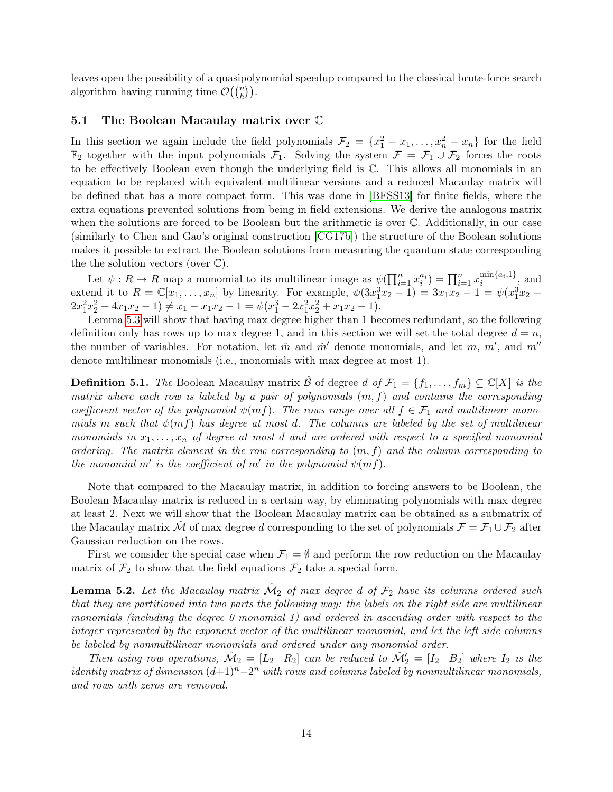leaves open the possibility of a quasipolynomial speedup compared to the classical brute-force search algorithm having running time  $\mathcal{O}(\binom{n}{h})$ .

#### 5.1 The Boolean Macaulay matrix over C

In this section we again include the field polynomials  $\mathcal{F}_2 = \{x_1^2 - x_1, \ldots, x_n^2 - x_n\}$  for the field  $\mathbb{F}_2$  together with the input polynomials  $\mathcal{F}_1$ . Solving the system  $\mathcal{F} = \mathcal{F}_1 \cup \mathcal{F}_2$  forces the roots to be effectively Boolean even though the underlying field is C. This allows all monomials in an equation to be replaced with equivalent multilinear versions and a reduced Macaulay matrix will be defined that has a more compact form. This was done in [\[BFSS13\]](#page-22-5) for finite fields, where the extra equations prevented solutions from being in field extensions. We derive the analogous matrix when the solutions are forced to be Boolean but the arithmetic is over C. Additionally, in our case (similarly to Chen and Gao's original construction [\[CG17b\]](#page-22-0)) the structure of the Boolean solutions makes it possible to extract the Boolean solutions from measuring the quantum state corresponding the the solution vectors (over  $\mathbb{C}$ ).

Let  $\psi: R \to R$  map a monomial to its multilinear image as  $\psi(\prod_{i=1}^n x_i^{a_i}) = \prod_{i=1}^n x_i^{\min\{a_i, 1\}}$  $\sum_{i=1}^{\min\{a_i,1\}}$ , and extend it to  $R = \mathbb{C}[x_1, ..., x_n]$  by linearity. For example,  $\psi(3x_1^3x_2 - 1) = 3x_1x_2 - 1 = \psi(x_1^3x_2 - 1)$  $2x_1^2x_2^2 + 4x_1x_2 - 1 \neq x_1 - x_1x_2 - 1 = \psi(x_1^3 - 2x_1^2x_2^2 + x_1x_2 - 1).$ 

Lemma [5.3](#page-14-0) will show that having max degree higher than 1 becomes redundant, so the following definition only has rows up to max degree 1, and in this section we will set the total degree  $d = n$ , the number of variables. For notation, let  $\hat{m}$  and  $\hat{m}'$  denote monomials, and let m, m', and m'' denote multilinear monomials (i.e., monomials with max degree at most 1).

<span id="page-13-1"></span>**Definition 5.1.** The Boolean Macaulay matrix  $\hat{\mathcal{B}}$  of degree d of  $\mathcal{F}_1 = \{f_1, \ldots, f_m\} \subseteq \mathbb{C}[X]$  is the matrix where each row is labeled by a pair of polynomials  $(m, f)$  and contains the corresponding coefficient vector of the polynomial  $\psi(mf)$ . The rows range over all  $f \in \mathcal{F}_1$  and multilinear monomials m such that  $\psi(mf)$  has degree at most d. The columns are labeled by the set of multilinear monomials in  $x_1, \ldots, x_n$  of degree at most d and are ordered with respect to a specified monomial ordering. The matrix element in the row corresponding to  $(m, f)$  and the column corresponding to the monomial m' is the coefficient of m' in the polynomial  $\psi(mf)$ .

Note that compared to the Macaulay matrix, in addition to forcing answers to be Boolean, the Boolean Macaulay matrix is reduced in a certain way, by eliminating polynomials with max degree at least 2. Next we will show that the Boolean Macaulay matrix can be obtained as a submatrix of the Macaulay matrix  $\hat{\mathcal{M}}$  of max degree d corresponding to the set of polynomials  $\mathcal{F} = \mathcal{F}_1 \cup \mathcal{F}_2$  after Gaussian reduction on the rows.

First we consider the special case when  $\mathcal{F}_1 = \emptyset$  and perform the row reduction on the Macaulay matrix of  $\mathcal{F}_2$  to show that the field equations  $\mathcal{F}_2$  take a special form.

<span id="page-13-0"></span>**Lemma 5.2.** Let the Macaulay matrix  $\hat{\mathcal{M}}_2$  of max degree d of  $\mathcal{F}_2$  have its columns ordered such that they are partitioned into two parts the following way: the labels on the right side are multilinear monomials (including the degree 0 monomial 1) and ordered in ascending order with respect to the integer represented by the exponent vector of the multilinear monomial, and let the left side columns be labeled by nonmultilinear monomials and ordered under any monomial order.

Then using row operations,  $\mathcal{M}_2 = [L_2 \ R_2]$  can be reduced to  $\mathcal{M}'_2 = [I_2 \ B_2]$  where  $I_2$  is the *identity matrix of dimension*  $(d+1)^n-2^n$  with rows and columns labeled by nonmultilinear monomials, and rows with zeros are removed.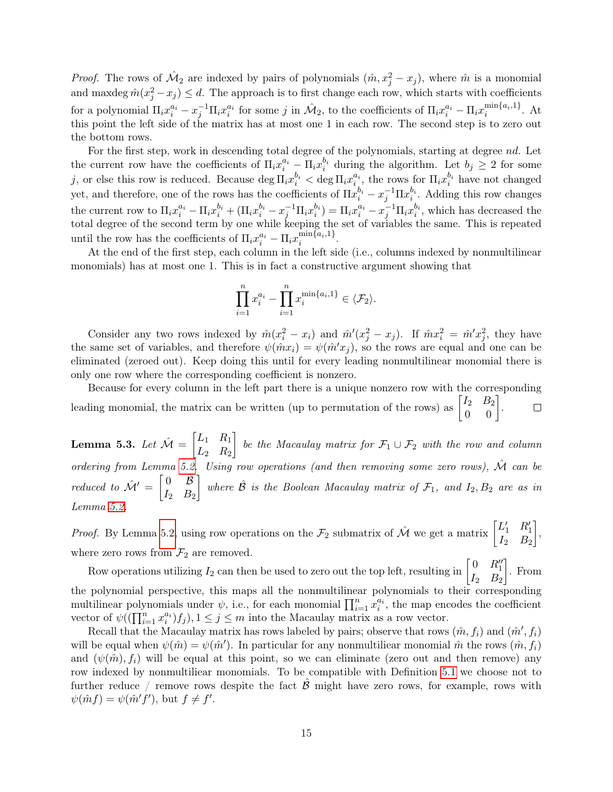*Proof.* The rows of  $\hat{M}_2$  are indexed by pairs of polynomials  $(\hat{m}, x_j^2 - x_j)$ , where  $\hat{m}$  is a monomial and maxdeg  $\hat{m}(x_j^2 - x_j) \leq d$ . The approach is to first change each row, which starts with coefficients for a polynomial  $\Pi_i x_i^{a_i} - x_j^{-1} \Pi_i x_i^{a_i}$  for some j in  $\hat{\mathcal{M}}_2$ , to the coefficients of  $\Pi_i x_i^{a_i} - \Pi_i x_i^{\min\{a_i,1\}}$  $i^{\min\{a_i,1\}}$ . At this point the left side of the matrix has at most one 1 in each row. The second step is to zero out the bottom rows.

For the first step, work in descending total degree of the polynomials, starting at degree nd. Let the current row have the coefficients of  $\Pi_i x_i^{a_i} - \Pi_i x_i^{b_i}$  during the algorithm. Let  $b_j \geq 2$  for some j, or else this row is reduced. Because  $\deg \Pi_i x_i^{b_i} < \deg \Pi_i x_i^{a_i}$ , the rows for  $\Pi_i x_i^{b_i}$  have not changed yet, and therefore, one of the rows has the coefficients of  $\Pi x_i^{b_i} - x_j^{-1} \Pi x_i^{b_i}$ . Adding this row changes the current row to  $\Pi_i x_i^{a_i} - \Pi_i x_i^{b_i} + (\Pi_i x_i^{b_i} - x_j^{-1} \Pi_i x_i^{b_i}) = \Pi_i x_i^{a_i} - x_j^{-1} \Pi_i x_i^{b_i}$ , which has decreased the total degree of the second term by one while keeping the set of variables the same. This is repeated until the row has the coefficients of  $\Pi_i x_i^{a_i} - \Pi_i x_i^{\min\{a_i,1\}}$  $\lim_{i}$ <sub> $i$ </sub>

At the end of the first step, each column in the left side (i.e., columns indexed by nonmultilinear monomials) has at most one 1. This is in fact a constructive argument showing that

$$
\prod_{i=1}^{n} x_i^{a_i} - \prod_{i=1}^{n} x_i^{\min\{a_i, 1\}} \in \langle \mathcal{F}_2 \rangle.
$$

Consider any two rows indexed by  $\hat{m}(x_i^2 - x_i)$  and  $\hat{m}'(x_j^2 - x_j)$ . If  $\hat{m}x_i^2 = \hat{m}'x_j^2$ , they have the same set of variables, and therefore  $\psi(\hat{m}x_i) = \psi(\hat{m}'x_i)$ , so the rows are equal and one can be eliminated (zeroed out). Keep doing this until for every leading nonmultilinear monomial there is only one row where the corresponding coefficient is nonzero.

Because for every column in the left part there is a unique nonzero row with the corresponding leading monomial, the matrix can be written (up to permutation of the rows) as  $\begin{bmatrix} I_2 & B_2 \ 0 & 0 \end{bmatrix}$ .  $\Box$ 

<span id="page-14-0"></span>Lemma 5.3. Let  $\hat{\mathcal{M}} = \begin{bmatrix} L_1 & R_1 \\ R_2 & R_2 \end{bmatrix}$  $L_2$   $R_2$  $\Big]$  be the Macaulay matrix for  $\mathcal{F}_1 \cup \mathcal{F}_2$  with the row and column ordering from Lemma [5.2.](#page-13-0) Using row operations (and then removing some zero rows),  $\hat{M}$  can be reduced to  $\hat{\mathcal{M}}' = \begin{bmatrix} 0 & \hat{\mathcal{B}} \\ I & D \end{bmatrix}$  $I_2$   $B_2$ where  $\hat{\mathcal{B}}$  is the Boolean Macaulay matrix of  $\mathcal{F}_1$ , and  $I_2, B_2$  are as in Lemma [5.2.](#page-13-0)

*Proof.* By Lemma [5.2,](#page-13-0) using row operations on the  $\mathcal{F}_2$  submatrix of  $\hat{\mathcal{M}}$  we get a matrix  $\begin{bmatrix} L'_1 & R'_1 \\ L_2 & R'_2 \end{bmatrix}$  $I_2$   $B_2$  , where zero rows from  $\mathcal{F}_2$  are removed.

Row operations utilizing  $I_2$  can then be used to zero out the top left, resulting in  $\begin{bmatrix} 0 & R_1'' \\ I_2 & R_2 \end{bmatrix}$  $I_2$   $B_2$  . From the polynomial perspective, this maps all the nonmultilinear polynomials to their corresponding multilinear polynomials under  $\psi$ , i.e., for each monomial  $\prod_{i=1}^{n} x_i^{a_i}$ , the map encodes the coefficient vector of  $\psi((\prod_{i=1}^n x_i^{a_i})f_j), 1 \leq j \leq m$  into the Macaulay matrix as a row vector.

Recall that the Macaulay matrix has rows labeled by pairs; observe that rows  $(\hat{m}, f_i)$  and  $(\hat{m}', f_i)$ will be equal when  $\psi(\hat{m}) = \psi(\hat{m}')$ . In particular for any nonmultiliear monomial  $\hat{m}$  the rows  $(\hat{m}, f_i)$ and  $(\psi(\hat{m}), f_i)$  will be equal at this point, so we can eliminate (zero out and then remove) any row indexed by nonmultiliear monomials. To be compatible with Definition [5.1](#page-13-1) we choose not to further reduce / remove rows despite the fact  $\hat{\beta}$  might have zero rows, for example, rows with  $\psi(\hat{m}f) = \psi(\hat{m}'f'), \text{ but } f \neq f'.$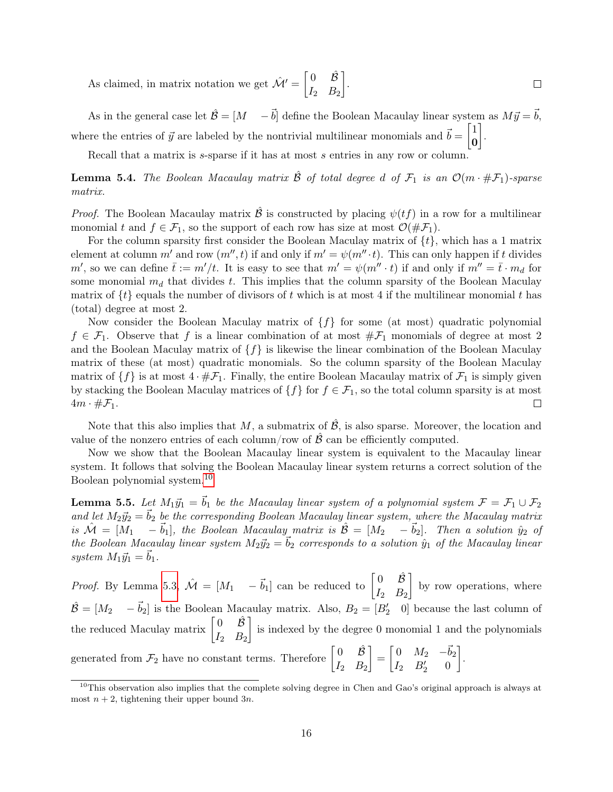As claimed, in matrix notation we get  $\mathcal{\hat{M}}' = \begin{bmatrix} 0 & \hat{\mathcal{B}} \\ r & p \end{bmatrix}$  .  $\Box$  $I_2$   $B_2$ 

As in the general case let  $\hat{\mathcal{B}} = [M - \vec{b}]$  define the Boolean Macaulay linear system as  $M\vec{y} = \vec{b}$ , where the entries of  $\vec{y}$  are labeled by the nontrivial multilinear monomials and  $\vec{b} = \begin{bmatrix} 1 \\ 0 \end{bmatrix}$ 0 .

Recall that a matrix is *s*-sparse if it has at most *s* entries in any row or column.

**Lemma 5.4.** The Boolean Macaulay matrix  $\hat{\beta}$  of total degree d of  $\mathcal{F}_1$  is an  $\mathcal{O}(m \cdot \#\mathcal{F}_1)$ -sparse matrix.

*Proof.* The Boolean Macaulay matrix  $\hat{\mathcal{B}}$  is constructed by placing  $\psi(tf)$  in a row for a multilinear monomial t and  $f \in \mathcal{F}_1$ , so the support of each row has size at most  $\mathcal{O}(\#\mathcal{F}_1)$ .

For the column sparsity first consider the Boolean Maculay matrix of  $\{t\}$ , which has a 1 matrix element at column m' and row  $(m'',t)$  if and only if  $m' = \psi(m'' \cdot t)$ . This can only happen if t divides m', so we can define  $\bar{t} := m'/t$ . It is easy to see that  $m' = \psi(m'' \cdot t)$  if and only if  $m'' = \bar{t} \cdot m_d$  for some monomial  $m_d$  that divides t. This implies that the column sparsity of the Boolean Maculay matrix of  $\{t\}$  equals the number of divisors of t which is at most 4 if the multilinear monomial t has (total) degree at most 2.

Now consider the Boolean Maculay matrix of  $\{f\}$  for some (at most) quadratic polynomial  $f \in \mathcal{F}_1$ . Observe that f is a linear combination of at most  $\#\mathcal{F}_1$  monomials of degree at most 2 and the Boolean Maculay matrix of  $\{f\}$  is likewise the linear combination of the Boolean Maculay matrix of these (at most) quadratic monomials. So the column sparsity of the Boolean Maculay matrix of  $\{f\}$  is at most  $4 \cdot \# \mathcal{F}_1$ . Finally, the entire Boolean Macaulay matrix of  $\mathcal{F}_1$  is simply given by stacking the Boolean Maculay matrices of  $\{f\}$  for  $f \in \mathcal{F}_1$ , so the total column sparsity is at most  $4m \cdot \#\mathcal{F}_1$ . □

Note that this also implies that M, a submatrix of  $\hat{\mathcal{B}}$ , is also sparse. Moreover, the location and value of the nonzero entries of each column/row of  $\hat{\mathcal{B}}$  can be efficiently computed.

Now we show that the Boolean Macaulay linear system is equivalent to the Macaulay linear system. It follows that solving the Boolean Macaulay linear system returns a correct solution of the Boolean polynomial system.[10](#page-15-0)

<span id="page-15-1"></span>**Lemma 5.5.** Let  $M_1\vec{y}_1 = \vec{b}_1$  be the Macaulay linear system of a polynomial system  $\mathcal{F} = \mathcal{F}_1 \cup \mathcal{F}_2$ and let  $M_2\vec{y}_2 = \vec{b}_2$  be the corresponding Boolean Macaulay linear system, where the Macaulay matrix is  $\hat{\mathcal{M}} = [M_1 \quad -\vec{b}_1],$  the Boolean Macaulay matrix is  $\hat{\mathcal{B}} = [M_2 \quad -\vec{b}_2].$  Then a solution  $\hat{y}_2$  of the Boolean Macaulay linear system  $M_2\vec{y}_2 = \vec{b}_2$  corresponds to a solution  $\hat{y}_1$  of the Macaulay linear system  $M_1\vec{y}_1 = \vec{b}_1$ .

*Proof.* By Lemma [5.3,](#page-14-0)  $\mathcal{\hat{M}} = [M_1 \quad -\vec{b}_1]$  can be reduced to  $\begin{bmatrix} 0 & \hat{\mathcal{B}} \\ I & D \end{bmatrix}$  $I_2$   $B_2$ by row operations, where  $\hat{\mathcal{B}} = [M_2 \quad -\vec{b}_2]$  is the Boolean Macaulay matrix. Also,  $B_2 = [B'_2 \quad 0]$  because the last column of the reduced Maculay matrix  $\begin{bmatrix} 0 & \hat{\mathcal{B}} \\ I & D \end{bmatrix}$  $I_2$   $B_2$  is indexed by the degree 0 monomial 1 and the polynomials generated from  $\mathcal{F}_2$  have no constant terms. Therefore  $\begin{bmatrix} 0 & \hat{B} \\ I & B \end{bmatrix}$  $I_2$   $B_2$  $\Big] = \begin{bmatrix} 0 & M_2 & -\vec{b}_2 \end{bmatrix}$  $I_2$   $B'_2$  0 .

<span id="page-15-0"></span> $10$ This observation also implies that the complete solving degree in Chen and Gao's original approach is always at most  $n + 2$ , tightening their upper bound 3n.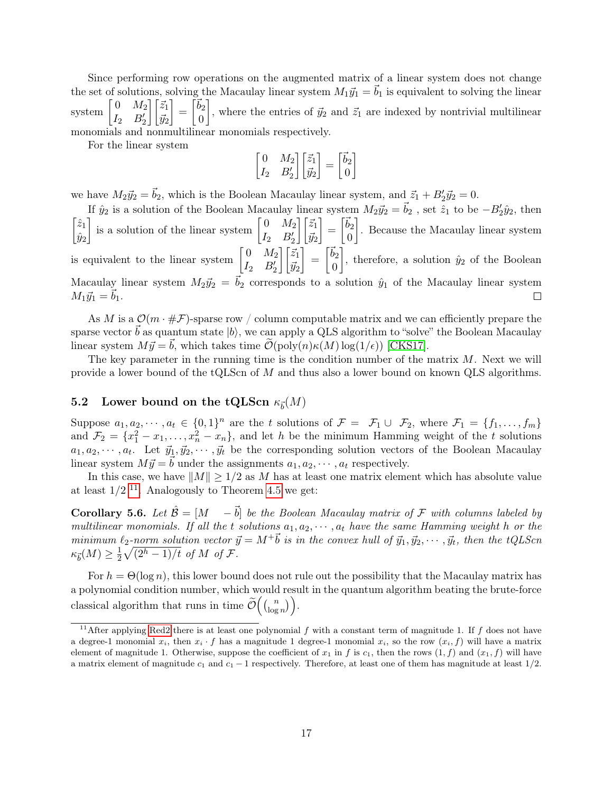Since performing row operations on the augmented matrix of a linear system does not change the set of solutions, solving the Macaulay linear system  $M_1\vec{y}_1 = \vec{b}_1$  is equivalent to solving the linear system  $0 \thinspace M_2$  $I_2$   $B'_2$  $\bigcap \vec{z}_1$  $\vec{y}_2$  $\Big] = \Big[\vec{b}_2\Big]$  $\overline{0}$ , where the entries of  $\vec{y}_2$  and  $\vec{z}_1$  are indexed by nontrivial multilinear monomials and nonmultilinear monomials respectively.

For the linear system

$$
\begin{bmatrix} 0 & M_2 \ I_2 & B'_2 \end{bmatrix} \begin{bmatrix} \vec{z}_1 \\ \vec{y}_2 \end{bmatrix} = \begin{bmatrix} \vec{b}_2 \\ 0 \end{bmatrix}
$$

we have  $M_2 \vec{y}_2 = \vec{b}_2$ , which is the Boolean Macaulay linear system, and  $\vec{z}_1 + B_2' \vec{y}_2 = 0$ .

If  $\hat{y}_2$  is a solution of the Boolean Macaulay linear system  $M_2 \vec{y}_2 = \vec{b}_2$ , set  $\hat{z}_1$  to be  $-B_2^{\prime} \hat{y}_2$ , then  $\Big] = \Big[\vec{b}_2\Big]$  $\sqrt{z_1}$ is a solution of the linear system  $\begin{bmatrix} 0 & M_2 \\ r & R_1 \end{bmatrix}$  $\bigcap \vec{z}_1$  . Because the Macaulay linear system  $I_2$   $B'_2$  $\hat{y}_2$  $\vec{y}_2$  $\overline{0}$  $\Big] = \Big[\vec{b}_2\Big]$ is equivalent to the linear system  $\begin{bmatrix} 0 & M_2 \\ I & D \end{bmatrix}$  $\bigcap \vec{z}_1$ , therefore, a solution  $\hat{y}_2$  of the Boolean  $I_2$   $B'_2$  $\vec{y}_2$ 0 Macaulay linear system  $M_2\vec{y}_2 = \vec{b}_2$  corresponds to a solution  $\hat{y}_1$  of the Macaulay linear system  $M_1\vec{y}_1 = b_1.$  $\Box$ 

As M is a  $\mathcal{O}(m \cdot \# \mathcal{F})$ -sparse row / column computable matrix and we can efficiently prepare the sparse vector  $\vec{b}$  as quantum state  $|b\rangle$ , we can apply a QLS algorithm to "solve" the Boolean Macaulay linear system  $M \vec{y} = \vec{b}$ , which takes time  $\mathcal{O}(\text{poly}(n)\kappa(M)\log(1/\epsilon))$  [\[CKS17\]](#page-23-4).

The key parameter in the running time is the condition number of the matrix  $M$ . Next we will provide a lower bound of the tQLScn of M and thus also a lower bound on known QLS algorithms.

### 5.2 Lower bound on the tQLScn  $\kappa_{\vec{b}}(M)$

Suppose  $a_1, a_2, \dots, a_t \in \{0, 1\}^n$  are the t solutions of  $\mathcal{F} = \mathcal{F}_1 \cup \mathcal{F}_2$ , where  $\mathcal{F}_1 = \{f_1, \dots, f_m\}$ and  $\mathcal{F}_2 = \{x_1^2 - x_1, \ldots, x_n^2 - x_n\}$ , and let h be the minimum Hamming weight of the t solutions  $a_1, a_2, \dots, a_t$ . Let  $\vec{y}_1, \vec{y}_2, \dots, \vec{y}_t$  be the corresponding solution vectors of the Boolean Macaulay linear system  $M \vec{y} = \vec{b}$  under the assignments  $a_1, a_2, \dots, a_t$  respectively.

In this case, we have  $||M|| \ge 1/2$  as M has at least one matrix element which has absolute value at least  $1/2$  <sup>[11](#page-16-0)</sup>. Analogously to Theorem [4.5](#page-9-2) we get:

**Corollary 5.6.** Let  $\hat{\mathcal{B}} = [M - \vec{b}]$  be the Boolean Macaulay matrix of F with columns labeled by multilinear monomials. If all the t solutions  $a_1, a_2, \dots, a_t$  have the same Hamming weight h or the minimum  $\ell_2$ -norm solution vector  $\vec{y} = M^+ \vec{b}$  is in the convex hull of  $\vec{y}_1, \vec{y}_2, \cdots, \vec{y}_t$ , then the tQLScn  $\kappa_{\vec{b}}(M) \geq \frac{1}{2}$  $\frac{1}{2}\sqrt{(2^h-1)/t}$  of M of F.

For  $h = \Theta(\log n)$ , this lower bound does not rule out the possibility that the Macaulay matrix has a polynomial condition number, which would result in the quantum algorithm beating the brute-force classical algorithm that runs in time  $\tilde{\mathcal{O}}\left(\binom{n}{\log n} \right)$  $\binom{n}{\log n}$ .

<span id="page-16-0"></span><sup>&</sup>lt;sup>11</sup>After applying [Red2](#page-5-4) there is at least one polynomial f with a constant term of magnitude 1. If f does not have a degree-1 monomial  $x_i$ , then  $x_i \cdot f$  has a magnitude 1 degree-1 monomial  $x_i$ , so the row  $(x_i, f)$  will have a matrix element of magnitude 1. Otherwise, suppose the coefficient of  $x_1$  in f is  $c_1$ , then the rows  $(1, f)$  and  $(x_1, f)$  will have a matrix element of magnitude  $c_1$  and  $c_1 - 1$  respectively. Therefore, at least one of them has magnitude at least  $1/2$ .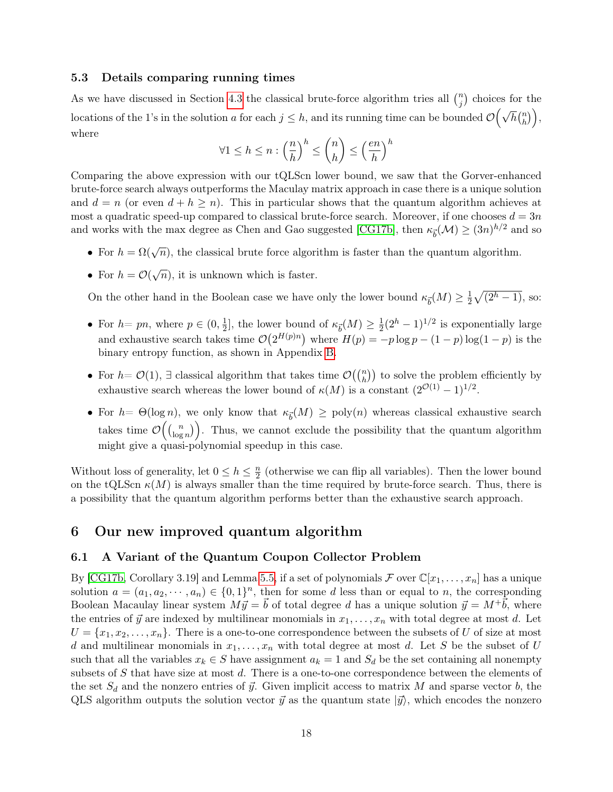#### 5.3 Details comparing running times

As we have discussed in Section [4.3](#page-12-1) the classical brute-force algorithm tries all  $\binom{n}{i}$  $j^{(n)}$  choices for the locations of the 1's in the solution a for each  $j \leq h$ , and its running time can be bounded  $\mathcal{O}(\sqrt{h} \binom{n}{h})$  $\binom{n}{h}$ , where

$$
\forall 1 \le h \le n : \left(\frac{n}{h}\right)^h \le \binom{n}{h} \le \left(\frac{en}{h}\right)^h
$$

Comparing the above expression with our tQLScn lower bound, we saw that the Gorver-enhanced brute-force search always outperforms the Maculay matrix approach in case there is a unique solution and  $d = n$  (or even  $d + h \geq n$ ). This in particular shows that the quantum algorithm achieves at most a quadratic speed-up compared to classical brute-force search. Moreover, if one chooses  $d = 3n$ and works with the max degree as Chen and Gao suggested [\[CG17b\]](#page-22-0), then  $\kappa_{\vec{b}}(\mathcal{M}) \ge (3n)^{h/2}$  and so

- For  $h = \Omega(\sqrt{n})$ , the classical brute force algorithm is faster than the quantum algorithm.
- For  $h = \mathcal{O}(\sqrt{n})$ , it is unknown which is faster.

On the other hand in the Boolean case we have only the lower bound  $\kappa_{\vec{b}}(M) \geq \frac{1}{2}$  $\frac{1}{2}\sqrt{(2^h-1)},$  so:

- For  $h= pn$ , where  $p \in (0, \frac{1}{2})$  $\frac{1}{2}$ , the lower bound of  $\kappa_{\vec{b}}(M) \geq \frac{1}{2}$  $\frac{1}{2}(2^h - 1)^{1/2}$  is exponentially large and exhaustive search takes time  $\mathcal{O}(2^{H(p)n})$  where  $H(p) = -p \log p - (1-p) \log(1-p)$  is the binary entropy function, as shown in Appendix [B.](#page-25-0)
- For  $h = \mathcal{O}(1)$ ,  $\exists$  classical algorithm that takes time  $\mathcal{O}(\binom{n}{h})$  to solve the problem efficiently by exhaustive search whereas the lower bound of  $\kappa(M)$  is a constant  $(2^{\mathcal{O}(1)}-1)^{1/2}$ .
- For  $h = \Theta(\log n)$ , we only know that  $\kappa_{\vec{b}}(M) \geq \text{poly}(n)$  whereas classical exhaustive search takes time  $\mathcal{O}\left(\binom{n}{\log n}\right)$  $\binom{n}{\log n}$ . Thus, we cannot exclude the possibility that the quantum algorithm might give a quasi-polynomial speedup in this case.

Without loss of generality, let  $0 \leq h \leq \frac{n}{2}$  $\frac{n}{2}$  (otherwise we can flip all variables). Then the lower bound on the tQLScn  $\kappa(M)$  is always smaller than the time required by brute-force search. Thus, there is a possibility that the quantum algorithm performs better than the exhaustive search approach.

### 6 Our new improved quantum algorithm

#### 6.1 A Variant of the Quantum Coupon Collector Problem

By [\[CG17b,](#page-22-0) Corollary 3.19] and Lemma [5.5,](#page-15-1) if a set of polynomials  $\mathcal F$  over  $\mathbb C[x_1,\ldots,x_n]$  has a unique solution  $a = (a_1, a_2, \dots, a_n) \in \{0, 1\}^n$ , then for some d less than or equal to n, the corresponding Boolean Macaulay linear system  $M \vec{y} = \vec{b}$  of total degree d has a unique solution  $\vec{y} = M^+ \vec{b}$ , where the entries of  $\vec{y}$  are indexed by multilinear monomials in  $x_1, \ldots, x_n$  with total degree at most d. Let  $U = \{x_1, x_2, \ldots, x_n\}.$  There is a one-to-one correspondence between the subsets of U of size at most d and multilinear monomials in  $x_1, \ldots, x_n$  with total degree at most d. Let S be the subset of U such that all the variables  $x_k \in S$  have assignment  $a_k = 1$  and  $S_d$  be the set containing all nonempty subsets of S that have size at most d. There is a one-to-one correspondence between the elements of the set  $S_d$  and the nonzero entries of  $\vec{y}$ . Given implicit access to matrix M and sparse vector b, the QLS algorithm outputs the solution vector  $\vec{y}$  as the quantum state  $|\vec{y}\rangle$ , which encodes the nonzero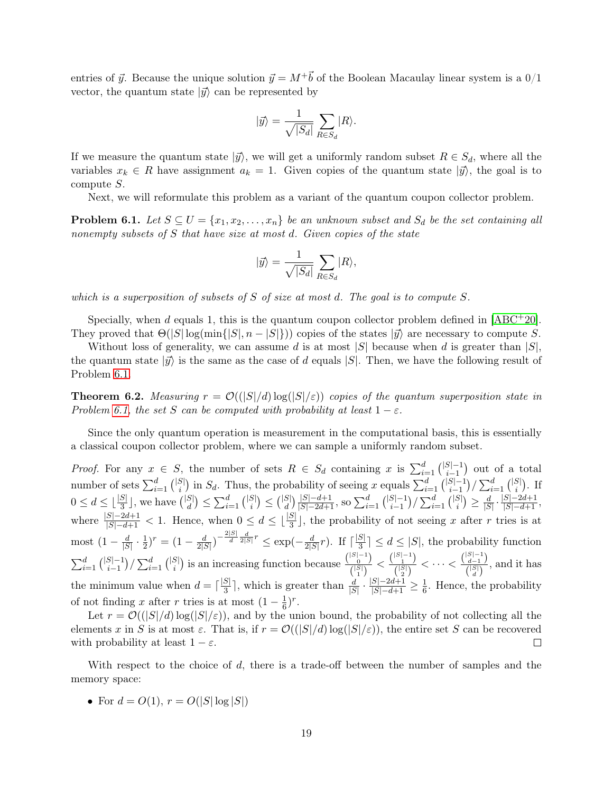entries of  $\vec{y}$ . Because the unique solution  $\vec{y} = M^+\vec{b}$  of the Boolean Macaulay linear system is a 0/1 vector, the quantum state  $|\vec{y}\rangle$  can be represented by

$$
|\vec{y}\rangle = \frac{1}{\sqrt{|S_d|}} \sum_{R \in S_d} |R\rangle.
$$

If we measure the quantum state  $|\vec{y}\rangle$ , we will get a uniformly random subset  $R \in S_d$ , where all the variables  $x_k \in R$  have assignment  $a_k = 1$ . Given copies of the quantum state  $|\vec{y}\rangle$ , the goal is to compute S.

Next, we will reformulate this problem as a variant of the quantum coupon collector problem.

<span id="page-18-0"></span>**Problem 6.1.** Let  $S \subseteq U = \{x_1, x_2, \ldots, x_n\}$  be an unknown subset and  $S_d$  be the set containing all nonempty subsets of  $S$  that have size at most  $d$ . Given copies of the state

$$
|\vec{y}\rangle = \frac{1}{\sqrt{|S_d|}} \sum_{R \in S_d} |R\rangle,
$$

which is a superposition of subsets of  $S$  of size at most d. The goal is to compute  $S$ .

Specially, when d equals 1, this is the quantum coupon collector problem defined in  $[ABC^+20]$  $[ABC^+20]$ . They proved that  $\Theta(|S| \log(\min\{|S|, n - |S|\}))$  copies of the states  $|\vec{y}\rangle$  are necessary to compute S.

Without loss of generality, we can assume d is at most |S| because when d is greater than  $|S|$ , the quantum state  $|\vec{y}\rangle$  is the same as the case of d equals  $|S|$ . Then, we have the following result of Problem [6.1.](#page-18-0)

<span id="page-18-1"></span>**Theorem 6.2.** Measuring  $r = \mathcal{O}(|S|/d) \log(|S|/\varepsilon)$  copies of the quantum superposition state in Problem [6.1,](#page-18-0) the set S can be computed with probability at least  $1 - \varepsilon$ .

Since the only quantum operation is measurement in the computational basis, this is essentially a classical coupon collector problem, where we can sample a uniformly random subset.

*Proof.* For any  $x \in S$ , the number of sets  $R \in S_d$  containing x is  $\sum_{i=1}^d { |S|-1 \choose i-1}$  $_{i-1}^{S|-1}$ ) out of a total number of sets  $\sum_{i=1}^d{|S|\choose i}$  $\binom{|S|}{i}$  in  $S_d$ . Thus, the probability of seeing x equals  $\sum_{i=1}^d {\binom{|S|-1}{i-1}}$  $_{i-1}^{|S|-1})/\sum_{i=1}^d{|S|}$  $_{i}^{\mathrm{S}}$ . If  $0 \leq d \leq \lfloor \frac{|S|}{3} \rfloor$ , we have  $\binom{|S|}{d}$  $\binom{|S|}{d} \leq \sum_{i=1}^{d} \binom{|S|}{i}$  $\binom{|S|}{i} \leq \binom{|S|}{d}$  $\binom{|S|-d+1}{d}$  so  $\sum_{i=1}^{d} \binom{|S|-1}{i-1}$  $_{i-1}^{|S|-1})/\sum_{i=1}^d{|S|}$  $\binom{|S|}{i} \geq \frac{d}{|S|}$  $\frac{d}{|S|} \cdot \frac{|S|-2d+1}{|S|-d+1},$ where  $\frac{|S|-2d+1}{|S|-d+1} < 1$ . Hence, when  $0 \leq d \leq \lfloor \frac{|S|}{3} \rfloor$ , the probability of not seeing x after r tries is at most  $(1 - \frac{d}{\sqrt{S}})$  $\frac{d}{|S|}\cdot\frac{1}{2}$  $(\frac{1}{2})^r = (1 - \frac{d}{2)^r}$  $\frac{d}{2|S|}\big)^{-\frac{2|S|}{d}}\frac{d}{2|S|}r\leq \exp(-\frac{d}{2|S|})$  $\frac{d}{2|S|}r$ ). If  $\lceil \frac{|S|}{3} \rceil$  $\frac{S}{3}$   $\leq d \leq |S|$ , the probability function  $\sum_{i=1}^{d} \binom{|S|-1}{i-1}$  $_{i-1}^{|S|-1})/\sum_{i=1}^d{|S|}$  $\binom{|S|-1}{i}$  is an increasing function because  $\frac{\binom{|S|-1}{i}}{\binom{|S|}{i}}$  $\frac{|S|-1}{0\choose 1} < \frac{|S|-1}{|S|\choose 2}$  $\frac{\binom{|S|-1}{1}}{\binom{|S|}{2}} < \cdots < \frac{\binom{|S|-1}{d-1}}{\binom{|S|}{d}}$  $\frac{d-1}{\binom{|S|}{d}}$ , and it has the minimum value when  $d = \lceil \frac{|S|}{3} \rceil$  $\frac{|S|}{3}$ , which is greater than  $\frac{d}{|S|} \cdot \frac{|S|-2d+1}{|S|-d+1} \geq \frac{1}{6}$  $\frac{1}{6}$ . Hence, the probability of not finding x after r tries is at most  $(1 - \frac{1}{6})$  $(\frac{1}{6})^r$ .

Let  $r = \mathcal{O}((|S|/d) \log(|S|/\varepsilon))$ , and by the union bound, the probability of not collecting all the elements x in S is at most  $\varepsilon$ . That is, if  $r = \mathcal{O}((|S|/d) \log(|S|/\varepsilon))$ , the entire set S can be recovered with probability at least  $1 - \varepsilon$ .  $\Box$ 

With respect to the choice of d, there is a trade-off between the number of samples and the memory space:

• For  $d = O(1)$ ,  $r = O(|S| \log |S|)$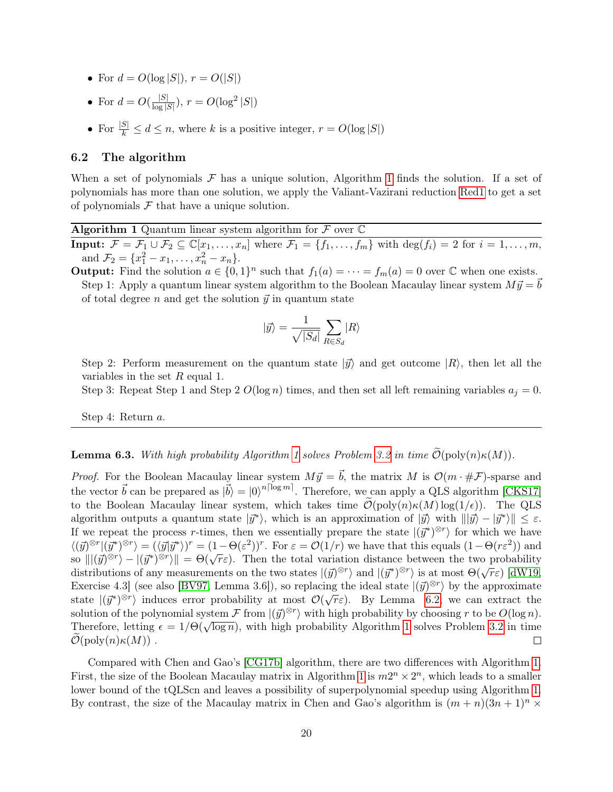- For  $d = O(\log |S|)$ ,  $r = O(|S|)$
- For  $d = O(\frac{|S|}{\log 2})$  $\frac{|S|}{\log |S|}$ ),  $r = O(\log^2 |S|)$
- For  $\frac{|S|}{k} \leq d \leq n$ , where k is a positive integer,  $r = O(\log |S|)$

#### 6.2 The algorithm

When a set of polynomials  $\mathcal F$  has a unique solution, Algorithm [1](#page-19-0) finds the solution. If a set of polynomials has more than one solution, we apply the Valiant-Vazirani reduction [Red1](#page-5-3) to get a set of polynomials  $\mathcal F$  that have a unique solution.

Algorithm 1 Quantum linear system algorithm for  $\mathcal F$  over  $\mathbb C$ 

<span id="page-19-0"></span>**Input:**  $\mathcal{F} = \mathcal{F}_1 \cup \mathcal{F}_2 \subseteq \mathbb{C}[x_1, \ldots, x_n]$  where  $\mathcal{F}_1 = \{f_1, \ldots, f_m\}$  with  $\deg(f_i) = 2$  for  $i = 1, \ldots, m$ , and  $\mathcal{F}_2 = \{x_1^2 - x_1, \ldots, x_n^2 - x_n\}.$ 

**Output:** Find the solution  $a \in \{0,1\}^n$  such that  $f_1(a) = \cdots = f_m(a) = 0$  over  $\mathbb C$  when one exists. Step 1: Apply a quantum linear system algorithm to the Boolean Macaulay linear system  $M \vec{y} = b$ of total degree n and get the solution  $\vec{y}$  in quantum state

$$
|\vec{y}\rangle = \frac{1}{\sqrt{|S_d|}}\sum_{R\in S_d}|R\rangle
$$

Step 2: Perform measurement on the quantum state  $|\vec{y}\rangle$  and get outcome  $|R\rangle$ , then let all the variables in the set  $R$  equal 1.

Step 3: Repeat Step 1 and Step 2  $O(\log n)$  times, and then set all left remaining variables  $a_j = 0$ .

Step 4: Return a.

**Lemma 6.3.** With high probability Algorithm [1](#page-19-0) solves Problem [3.2](#page-4-0) in time  $\mathcal{O}(\text{poly}(n)\kappa(M)).$ 

*Proof.* For the Boolean Macaulay linear system  $M\vec{y} = \vec{b}$ , the matrix M is  $\mathcal{O}(m \cdot \#\mathcal{F})$ -sparse and the vector  $\vec{b}$  can be prepared as  $|\vec{b}\rangle = |0\rangle^{n\lceil \log m \rceil}$ . Therefore, we can apply a QLS algorithm [\[CKS17\]](#page-23-4) to the Boolean Macaulay linear system, which takes time  $\mathcal{O}(\text{poly}(n)\kappa(M)\log(1/\epsilon))$ . The QLS algorithm outputs a quantum state  $|\vec{y}^*\rangle$ , which is an approximation of  $|\vec{y}\rangle$  with  $\|\vec{y}\rangle - \vec{y}^*\rangle \| \leq \varepsilon$ . If we repeat the process r-times, then we essentially prepare the state  $|(\vec{y}^*)^{\otimes r}\rangle$  for which we have  $\langle (\vec{y})^{\otimes r} | (\vec{y}^*)^{\otimes r} \rangle = (\langle \vec{y} | \vec{y}^* \rangle)^r = (1 - \Theta(\varepsilon^2))^r$ . For  $\varepsilon = \mathcal{O}(1/r)$  we have that this equals  $(1 - \Theta(r\varepsilon^2))$  and  $\langle (y)^{-1}(y^+) \rangle = (\langle y^*|y^-\rangle) = (1-\Theta(\varepsilon))$ . For  $\varepsilon = O(1/\varepsilon)$  we have that this equals  $(1-\Theta(\varepsilon))$  and so  $\| |(\vec{y})^{\otimes r}\rangle - |(\vec{y}^*)^{\otimes r}\rangle \| = \Theta(\sqrt{r}\varepsilon)$ . Then the total variation distance between the two probability so  $||(y)^{-1} - (y^+)^{-1}|| = O(\sqrt{r \varepsilon})$ . Then the total variation distance between the two probability distributions of any measurements on the two states  $|(\vec{y})^{\otimes r}\rangle$  and  $|(\vec{y}^*)^{\otimes r}\rangle$  is at most  $\Theta(\sqrt{r \varepsilon})$  [\[dW19,](#page-24-2) Exercise 4.3] (see also [\[BV97,](#page-22-10) Lemma 3.6]), so replacing the ideal state  $|(\vec{y})^{\otimes r}\rangle$  by the approximate state  $|(\vec{y}^*)^{\otimes r}\rangle$  induces error probability at most  $\mathcal{O}(\sqrt{r}\varepsilon)$ . By Lemma [6.2,](#page-18-1) we can extract the solution of the polynomial system  $\mathcal F$  from  $|(\vec{y})^{\otimes r}\rangle$  with high probability by choosing r to be  $O(\log n)$ . Solution of the polynomial system  $\mathcal{F}$  from  $|(y)^{-1}|$  with high probability by choosing  $\tau$  to be  $O(\log n)$ .<br>Therefore, letting  $\epsilon = 1/\Theta(\sqrt{\log n})$  $\epsilon = 1/\Theta(\sqrt{\log n})$  $\epsilon = 1/\Theta(\sqrt{\log n})$ , with high probability Algorithm 1 solves Problem [3.2](#page-4-0) in time  $\mathcal{O}(\text{poly}(n)\kappa(M))$ .  $\Box$ 

Compared with Chen and Gao's [\[CG17b\]](#page-22-0) algorithm, there are two differences with Algorithm [1.](#page-19-0) First, the size of the Boolean Macaulay matrix in Algorithm [1](#page-19-0) is  $m2^n \times 2^n$ , which leads to a smaller lower bound of the tQLScn and leaves a possibility of superpolynomial speedup using Algorithm [1.](#page-19-0) By contrast, the size of the Macaulay matrix in Chen and Gao's algorithm is  $(m + n)(3n + 1)^n$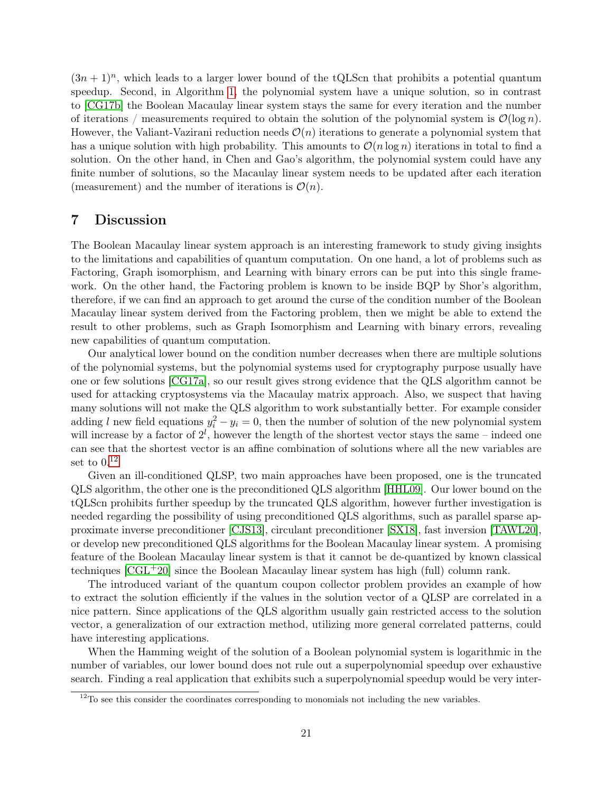$(3n + 1)^n$ , which leads to a larger lower bound of the tQLScn that prohibits a potential quantum speedup. Second, in Algorithm [1,](#page-19-0) the polynomial system have a unique solution, so in contrast to [\[CG17b\]](#page-22-0) the Boolean Macaulay linear system stays the same for every iteration and the number of iterations / measurements required to obtain the solution of the polynomial system is  $\mathcal{O}(\log n)$ . However, the Valiant-Vazirani reduction needs  $\mathcal{O}(n)$  iterations to generate a polynomial system that has a unique solution with high probability. This amounts to  $\mathcal{O}(n \log n)$  iterations in total to find a solution. On the other hand, in Chen and Gao's algorithm, the polynomial system could have any finite number of solutions, so the Macaulay linear system needs to be updated after each iteration (measurement) and the number of iterations is  $\mathcal{O}(n)$ .

### 7 Discussion

The Boolean Macaulay linear system approach is an interesting framework to study giving insights to the limitations and capabilities of quantum computation. On one hand, a lot of problems such as Factoring, Graph isomorphism, and Learning with binary errors can be put into this single framework. On the other hand, the Factoring problem is known to be inside BQP by Shor's algorithm, therefore, if we can find an approach to get around the curse of the condition number of the Boolean Macaulay linear system derived from the Factoring problem, then we might be able to extend the result to other problems, such as Graph Isomorphism and Learning with binary errors, revealing new capabilities of quantum computation.

Our analytical lower bound on the condition number decreases when there are multiple solutions of the polynomial systems, but the polynomial systems used for cryptography purpose usually have one or few solutions [\[CG17a\]](#page-22-2), so our result gives strong evidence that the QLS algorithm cannot be used for attacking cryptosystems via the Macaulay matrix approach. Also, we suspect that having many solutions will not make the QLS algorithm to work substantially better. For example consider adding l new field equations  $y_i^2 - y_i = 0$ , then the number of solution of the new polynomial system will increase by a factor of  $2^l$ , however the length of the shortest vector stays the same – indeed one can see that the shortest vector is an affine combination of solutions where all the new variables are set to  $0.12$  $0.12$ 

Given an ill-conditioned QLSP, two main approaches have been proposed, one is the truncated QLS algorithm, the other one is the preconditioned QLS algorithm [\[HHL09\]](#page-23-3). Our lower bound on the tQLScn prohibits further speedup by the truncated QLS algorithm, however further investigation is needed regarding the possibility of using preconditioned QLS algorithms, such as parallel sparse approximate inverse preconditioner [\[CJS13\]](#page-22-11), circulant preconditioner [\[SX18\]](#page-23-11), fast inversion [\[TAWL20\]](#page-24-3), or develop new preconditioned QLS algorithms for the Boolean Macaulay linear system. A promising feature of the Boolean Macaulay linear system is that it cannot be de-quantized by known classical techniques  $\text{[CGL+20]}$  $\text{[CGL+20]}$  $\text{[CGL+20]}$  since the Boolean Macaulay linear system has high (full) column rank.

The introduced variant of the quantum coupon collector problem provides an example of how to extract the solution efficiently if the values in the solution vector of a QLSP are correlated in a nice pattern. Since applications of the QLS algorithm usually gain restricted access to the solution vector, a generalization of our extraction method, utilizing more general correlated patterns, could have interesting applications.

When the Hamming weight of the solution of a Boolean polynomial system is logarithmic in the number of variables, our lower bound does not rule out a superpolynomial speedup over exhaustive search. Finding a real application that exhibits such a superpolynomial speedup would be very inter-

<span id="page-20-0"></span> $12$ To see this consider the coordinates corresponding to monomials not including the new variables.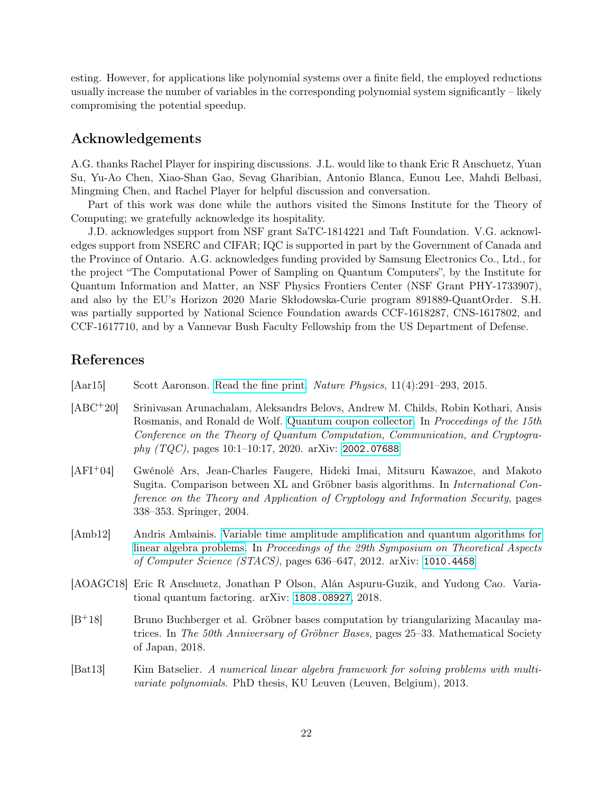esting. However, for applications like polynomial systems over a finite field, the employed reductions usually increase the number of variables in the corresponding polynomial system significantly – likely compromising the potential speedup.

### Acknowledgements

A.G. thanks Rachel Player for inspiring discussions. J.L. would like to thank Eric R Anschuetz, Yuan Su, Yu-Ao Chen, Xiao-Shan Gao, Sevag Gharibian, Antonio Blanca, Eunou Lee, Mahdi Belbasi, Mingming Chen, and Rachel Player for helpful discussion and conversation.

Part of this work was done while the authors visited the Simons Institute for the Theory of Computing; we gratefully acknowledge its hospitality.

J.D. acknowledges support from NSF grant SaTC-1814221 and Taft Foundation. V.G. acknowledges support from NSERC and CIFAR; IQC is supported in part by the Government of Canada and the Province of Ontario. A.G. acknowledges funding provided by Samsung Electronics Co., Ltd., for the project "The Computational Power of Sampling on Quantum Computers", by the Institute for Quantum Information and Matter, an NSF Physics Frontiers Center (NSF Grant PHY-1733907), and also by the EU's Horizon 2020 Marie Skłodowska-Curie program 891889-QuantOrder. S.H. was partially supported by National Science Foundation awards CCF-1618287, CNS-1617802, and CCF-1617710, and by a Vannevar Bush Faculty Fellowship from the US Department of Defense.

### References

<span id="page-21-3"></span>[Aar15] Scott Aaronson. [Read the fine print.](http://dx.doi.org/10.1038/nphys3272) Nature Physics, 11(4):291–293, 2015.

- <span id="page-21-0"></span>[ABC+20] Srinivasan Arunachalam, Aleksandrs Belovs, Andrew M. Childs, Robin Kothari, Ansis Rosmanis, and Ronald de Wolf. [Quantum coupon collector.](http://dx.doi.org/10.4230/LIPIcs.TQC.2020.10) In Proceedings of the 15th Conference on the Theory of Quantum Computation, Communication, and Cryptogra $phy (TQC)$ , pages 10:1-10:17, 2020. arXiv: [2002.07688](https://arxiv.org/abs/2002.07688)
- <span id="page-21-1"></span>[AFI+04] Gwénolé Ars, Jean-Charles Faugere, Hideki Imai, Mitsuru Kawazoe, and Makoto Sugita. Comparison between XL and Gröbner basis algorithms. In International Conference on the Theory and Application of Cryptology and Information Security, pages 338–353. Springer, 2004.
- <span id="page-21-2"></span>[Amb12] Andris Ambainis. [Variable time amplitude amplification and quantum algorithms for](http://dx.doi.org/10.4230/LIPIcs.STACS.2012.636) [linear algebra problems.](http://dx.doi.org/10.4230/LIPIcs.STACS.2012.636) In Proceedings of the 29th Symposium on Theoretical Aspects of Computer Science (STACS), pages 636–647, 2012. arXiv: [1010.4458](https://arxiv.org/abs/1010.4458)
- <span id="page-21-4"></span>[AOAGC18] Eric R Anschuetz, Jonathan P Olson, Alán Aspuru-Guzik, and Yudong Cao. Variational quantum factoring. arXiv: [1808.08927](https://arxiv.org/abs/1808.08927), 2018.
- <span id="page-21-6"></span>[B+18] Bruno Buchberger et al. Gröbner bases computation by triangularizing Macaulay matrices. In The 50th Anniversary of Gröbner Bases, pages 25–33. Mathematical Society of Japan, 2018.
- <span id="page-21-5"></span>[Bat13] Kim Batselier. A numerical linear algebra framework for solving problems with multivariate polynomials. PhD thesis, KU Leuven (Leuven, Belgium), 2013.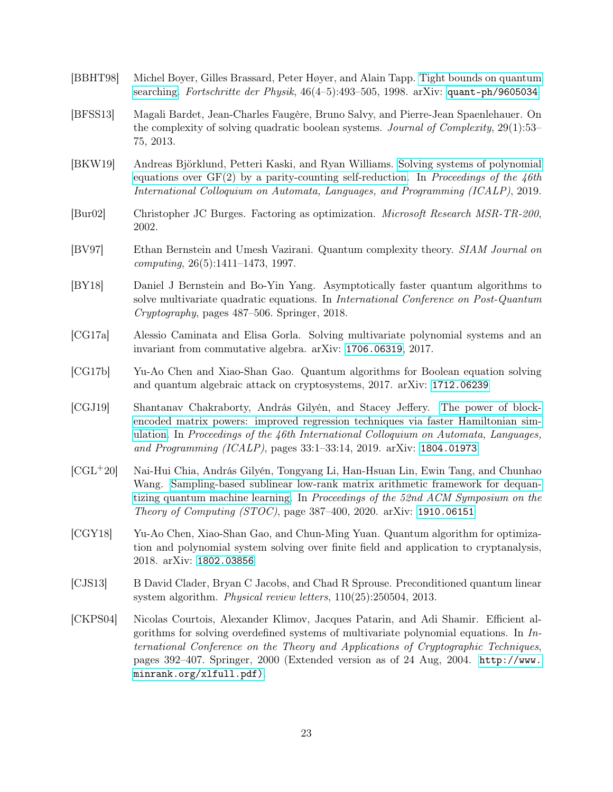- <span id="page-22-9"></span>[BBHT98] Michel Boyer, Gilles Brassard, Peter Høyer, and Alain Tapp. [Tight bounds on quantum](http://dx.doi.org/10.1002/(SICI)1521-3978(199806)46:4/5<493::AID-PROP493>3.0.CO;2-P) [searching.](http://dx.doi.org/10.1002/(SICI)1521-3978(199806)46:4/5<493::AID-PROP493>3.0.CO;2-P) Fortschritte der Physik,  $46(4-5)$ :493-505, 1998. arXiv: [quant-ph/9605034](https://arxiv.org/abs/quant-ph/9605034)
- <span id="page-22-5"></span>[BFSS13] Magali Bardet, Jean-Charles Faugère, Bruno Salvy, and Pierre-Jean Spaenlehauer. On the complexity of solving quadratic boolean systems. Journal of Complexity, 29(1):53– 75, 2013.
- <span id="page-22-8"></span>[BKW19] Andreas Björklund, Petteri Kaski, and Ryan Williams. [Solving systems of polynomial](http://dx.doi.org/10.4230/LIPIcs.ICALP.2019.26) equations over  $GF(2)$  by a parity-counting self-reduction. In Proceedings of the 46th International Colloquium on Automata, Languages, and Programming (ICALP), 2019.
- <span id="page-22-6"></span>[Bur02] Christopher JC Burges. Factoring as optimization. Microsoft Research MSR-TR-200, 2002.
- <span id="page-22-10"></span>[BV97] Ethan Bernstein and Umesh Vazirani. Quantum complexity theory. SIAM Journal on computing, 26(5):1411–1473, 1997.
- <span id="page-22-7"></span>[BY18] Daniel J Bernstein and Bo-Yin Yang. Asymptotically faster quantum algorithms to solve multivariate quadratic equations. In International Conference on Post-Quantum Cryptography, pages 487–506. Springer, 2018.
- <span id="page-22-2"></span>[CG17a] Alessio Caminata and Elisa Gorla. Solving multivariate polynomial systems and an invariant from commutative algebra. arXiv: [1706.06319](https://arxiv.org/abs/1706.06319), 2017.
- <span id="page-22-0"></span>[CG17b] Yu-Ao Chen and Xiao-Shan Gao. Quantum algorithms for Boolean equation solving and quantum algebraic attack on cryptosystems, 2017. arXiv: [1712.06239](https://arxiv.org/abs/1712.06239)
- <span id="page-22-4"></span>[CGJ19] Shantanav Chakraborty, András Gilyén, and Stacey Jeffery. [The power of block](http://dx.doi.org/10.4230/LIPIcs.ICALP.2019.33)[encoded matrix powers: improved regression techniques via faster Hamiltonian sim](http://dx.doi.org/10.4230/LIPIcs.ICALP.2019.33)[ulation.](http://dx.doi.org/10.4230/LIPIcs.ICALP.2019.33) In Proceedings of the  $46th$  International Colloquium on Automata, Languages, and Programming (ICALP), pages 33:1–33:14, 2019. arXiv: [1804.01973](https://arxiv.org/abs/1804.01973)
- <span id="page-22-12"></span>[CGL+20] Nai-Hui Chia, András Gilyén, Tongyang Li, Han-Hsuan Lin, Ewin Tang, and Chunhao Wang. [Sampling-based sublinear low-rank matrix arithmetic framework for dequan](http://dx.doi.org/10.1145/3357713.3384314)[tizing quantum machine learning.](http://dx.doi.org/10.1145/3357713.3384314) In Proceedings of the 52nd ACM Symposium on the Theory of Computing (STOC), page 387–400, 2020. arXiv: [1910.06151](https://arxiv.org/abs/1910.06151)
- <span id="page-22-1"></span>[CGY18] Yu-Ao Chen, Xiao-Shan Gao, and Chun-Ming Yuan. Quantum algorithm for optimization and polynomial system solving over finite field and application to cryptanalysis, 2018. arXiv: [1802.03856](https://arxiv.org/abs/1802.03856)
- <span id="page-22-11"></span>[CJS13] B David Clader, Bryan C Jacobs, and Chad R Sprouse. Preconditioned quantum linear system algorithm. Physical review letters, 110(25):250504, 2013.
- <span id="page-22-3"></span>[CKPS04] Nicolas Courtois, Alexander Klimov, Jacques Patarin, and Adi Shamir. Efficient algorithms for solving overdefined systems of multivariate polynomial equations. In  $In$ ternational Conference on the Theory and Applications of Cryptographic Techniques, pages 392–407. Springer, 2000 (Extended version as of 24 Aug, 2004. [http://www.]( http://www.minrank.org/xlfull.pdf)) [minrank.org/xlfull.pdf\)]( http://www.minrank.org/xlfull.pdf)).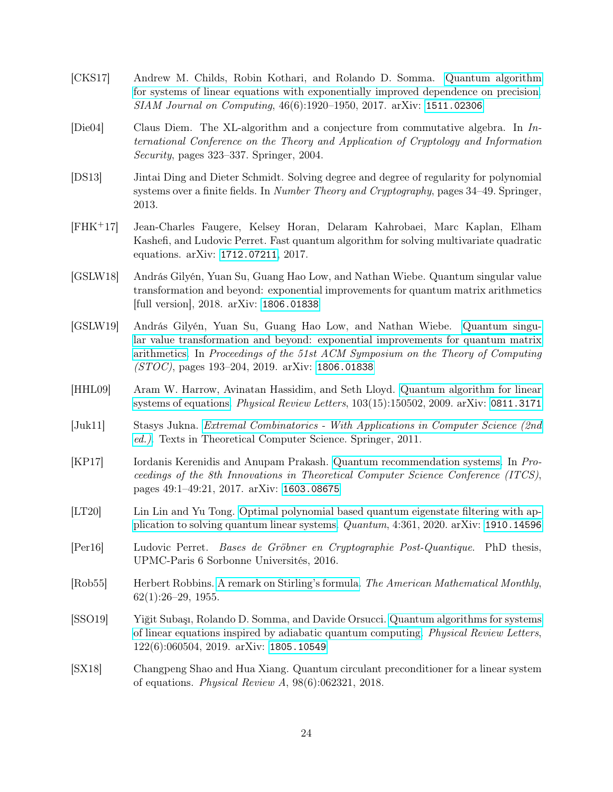- <span id="page-23-4"></span>[CKS17] Andrew M. Childs, Robin Kothari, and Rolando D. Somma. [Quantum algorithm](http://dx.doi.org/10.1137/16M1087072) [for systems of linear equations with exponentially improved dependence on precision.](http://dx.doi.org/10.1137/16M1087072) SIAM Journal on Computing, 46(6):1920–1950, 2017. arXiv: [1511.02306](https://arxiv.org/abs/1511.02306)
- <span id="page-23-1"></span>[Die04] Claus Diem. The XL-algorithm and a conjecture from commutative algebra. In International Conference on the Theory and Application of Cryptology and Information Security, pages 323–337. Springer, 2004.
- <span id="page-23-0"></span>[DS13] Jintai Ding and Dieter Schmidt. Solving degree and degree of regularity for polynomial systems over a finite fields. In *Number Theory and Cryptography*, pages 34–49. Springer, 2013.
- <span id="page-23-10"></span>[FHK+17] Jean-Charles Faugere, Kelsey Horan, Delaram Kahrobaei, Marc Kaplan, Elham Kashefi, and Ludovic Perret. Fast quantum algorithm for solving multivariate quadratic equations. arXiv: [1712.07211](https://arxiv.org/abs/1712.07211), 2017.
- <span id="page-23-8"></span>[GSLW18] András Gilyén, Yuan Su, Guang Hao Low, and Nathan Wiebe. Quantum singular value transformation and beyond: exponential improvements for quantum matrix arithmetics [full version], 2018. arXiv: [1806.01838](https://arxiv.org/abs/1806.01838)
- <span id="page-23-5"></span>[GSLW19] András Gilyén, Yuan Su, Guang Hao Low, and Nathan Wiebe. [Quantum singu](http://dx.doi.org/10.1145/3313276.3316366)[lar value transformation and beyond: exponential improvements for quantum matrix](http://dx.doi.org/10.1145/3313276.3316366) [arithmetics.](http://dx.doi.org/10.1145/3313276.3316366) In Proceedings of the 51st ACM Symposium on the Theory of Computing (STOC), pages 193–204, 2019. arXiv: [1806.01838](https://arxiv.org/abs/1806.01838)
- <span id="page-23-3"></span>[HHL09] Aram W. Harrow, Avinatan Hassidim, and Seth Lloyd. [Quantum algorithm for linear](http://dx.doi.org/10.1103/PhysRevLett.103.150502) [systems of equations.](http://dx.doi.org/10.1103/PhysRevLett.103.150502) Physical Review Letters, 103(15):150502, 2009. arXiv: [0811.3171](https://arxiv.org/abs/0811.3171)
- <span id="page-23-12"></span>[Juk11] Stasys Jukna. [Extremal Combinatorics - With Applications in Computer Science \(2nd](http://dx.doi.org/10.1007/978-3-642-17364-6) [ed.\)](http://dx.doi.org/10.1007/978-3-642-17364-6). Texts in Theoretical Computer Science. Springer, 2011.
- <span id="page-23-9"></span>[KP17] Iordanis Kerenidis and Anupam Prakash. [Quantum recommendation systems.](http://dx.doi.org/10.4230/LIPIcs.ITCS.2017.49) In Proceedings of the 8th Innovations in Theoretical Computer Science Conference (ITCS), pages 49:1–49:21, 2017. arXiv: [1603.08675](https://arxiv.org/abs/1603.08675)
- <span id="page-23-7"></span>[LT20] Lin Lin and Yu Tong. [Optimal polynomial based quantum eigenstate filtering with ap](http://dx.doi.org/10.22331/q-2020-11-11-361)[plication to solving quantum linear systems.](http://dx.doi.org/10.22331/q-2020-11-11-361) Quantum, 4:361, 2020. arXiv: [1910.14596](https://arxiv.org/abs/1910.14596)
- <span id="page-23-2"></span>[Per16] Ludovic Perret. Bases de Gröbner en Cryptographie Post-Quantique. PhD thesis, UPMC-Paris 6 Sorbonne Universités, 2016.
- <span id="page-23-13"></span>[Rob55] Herbert Robbins. [A remark on Stirling's formula.](http://dx.doi.org/10.2307/2308012) The American Mathematical Monthly,  $62(1):26-29, 1955.$
- <span id="page-23-6"></span>[SSO19] Yiğit Subaşı, Rolando D. Somma, and Davide Orsucci. [Quantum algorithms for systems](http://dx.doi.org/10.1103/PhysRevLett.122.060504) [of linear equations inspired by adiabatic quantum computing.](http://dx.doi.org/10.1103/PhysRevLett.122.060504) Physical Review Letters, 122(6):060504, 2019. arXiv: [1805.10549](https://arxiv.org/abs/1805.10549)
- <span id="page-23-11"></span>[SX18] Changpeng Shao and Hua Xiang. Quantum circulant preconditioner for a linear system of equations. Physical Review A, 98(6):062321, 2018.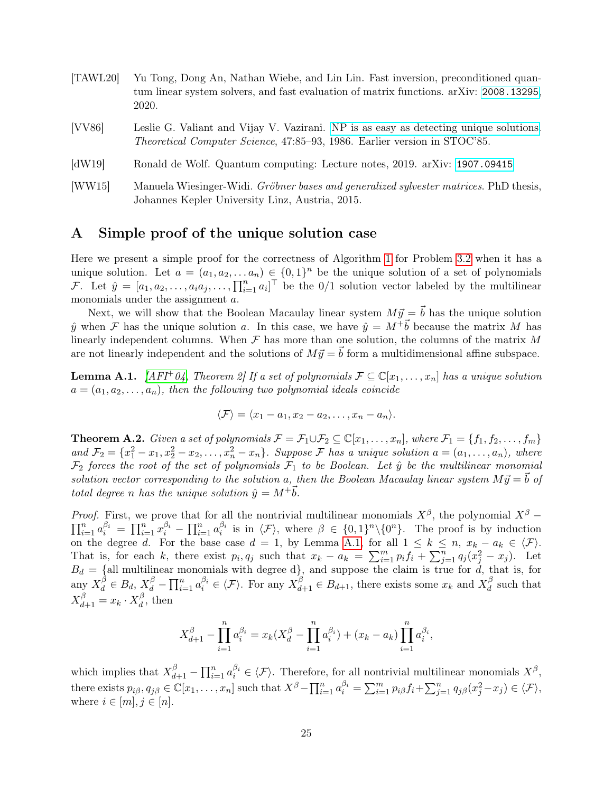<span id="page-24-3"></span><span id="page-24-1"></span>

| [TAWL20]      | Yu Tong, Dong An, Nathan Wiebe, and Lin Lin. Fast inversion, preconditioned quan-<br>tum linear system solvers, and fast evaluation of matrix functions. arXiv: 2008.13295,<br>2020. |
|---------------|--------------------------------------------------------------------------------------------------------------------------------------------------------------------------------------|
| [VV86]        | Leslie G. Valiant and Vijay V. Vazirani. NP is as easy as detecting unique solutions.<br><i>Theoretical Computer Science</i> , 47:85–93, 1986. Earlier version in STOC'85.           |
| $\text{dW19}$ | Ronald de Wolf. Quantum computing: Lecture notes, 2019. arXiv: 1907.09415                                                                                                            |

<span id="page-24-2"></span><span id="page-24-0"></span>[WW15] Manuela Wiesinger-Widi. Gröbner bases and generalized sylvester matrices. PhD thesis, Johannes Kepler University Linz, Austria, 2015.

### A Simple proof of the unique solution case

Here we present a simple proof for the correctness of Algorithm [1](#page-19-0) for Problem [3.2](#page-4-0) when it has a unique solution. Let  $a = (a_1, a_2, \ldots a_n) \in \{0,1\}^n$  be the unique solution of a set of polynomials F. Let  $\hat{y} = [a_1, a_2, \ldots, a_i a_j, \ldots, \prod_{i=1}^n a_i]^\top$  be the 0/1 solution vector labeled by the multilinear monomials under the assignment a.

Next, we will show that the Boolean Macaulay linear system  $M \vec{y} = \vec{b}$  has the unique solution  $\hat{y}$  when F has the unique solution a. In this case, we have  $\hat{y} = M^+ \vec{b}$  because the matrix M has linearly independent columns. When  $\mathcal F$  has more than one solution, the columns of the matrix M are not linearly independent and the solutions of  $M\vec{y} = \vec{b}$  form a multidimensional affine subspace.

<span id="page-24-4"></span>**Lemma A.1.** [\[AFI](#page-21-1)<sup>+</sup>04, Theorem 2] If a set of polynomials  $\mathcal{F} \subseteq \mathbb{C}[x_1,\ldots,x_n]$  has a unique solution  $a = (a_1, a_2, \ldots, a_n)$ , then the following two polynomial ideals coincide

$$
\langle \mathcal{F} \rangle = \langle x_1 - a_1, x_2 - a_2, \dots, x_n - a_n \rangle.
$$

**Theorem A.2.** Given a set of polynomials  $\mathcal{F} = \mathcal{F}_1 \cup \mathcal{F}_2 \subseteq \mathbb{C}[x_1,\ldots,x_n]$ , where  $\mathcal{F}_1 = \{f_1, f_2, \ldots, f_m\}$ and  $\mathcal{F}_2 = \{x_1^2 - x_1, x_2^2 - x_2, \ldots, x_n^2 - x_n\}$ . Suppose  $\mathcal F$  has a unique solution  $a = (a_1, \ldots, a_n)$ , where  $\mathcal{F}_2$  forces the root of the set of polynomials  $\mathcal{F}_1$  to be Boolean. Let  $\hat{y}$  be the multilinear monomial solution vector corresponding to the solution a, then the Boolean Macaulay linear system  $M\vec{y} = \vec{b}$  of total degree n has the unique solution  $\hat{y} = M^{+} \vec{b}$ .

*Proof.* First, we prove that for all the nontrivial multilinear monomials  $X^{\beta}$ , the polynomial  $X^{\beta}$  –  $\prod_{i=1}^n a_i^{\beta_i} = \prod_{i=1}^n x_i^{\beta_i} - \prod_{i=1}^n a_i^{\beta_i}$  is in  $\langle \mathcal{F} \rangle$ , where  $\beta \in \{0,1\}^n \setminus \{0^n\}$ . The proof is by induction on the degree d. For the base case  $d = 1$ , by Lemma [A.1,](#page-24-4) for all  $1 \leq k \leq n$ ,  $x_k - a_k \in \langle \mathcal{F} \rangle$ . That is, for each k, there exist  $p_i, q_j$  such that  $x_k - a_k = \sum_{i=1}^m p_i f_i + \sum_{j=1}^n q_j (x_j^2 - x_j)$ . Let  $B_d = \{$ all multilinear monomials with degree d $\}$ , and suppose the claim is true for d, that is, for any  $X_d^{\beta} \in B_d$ ,  $X_d^{\beta} - \prod_{i=1}^n a_i^{\beta_i} \in \langle \mathcal{F} \rangle$ . For any  $X_{d+1}^{\beta} \in B_{d+1}$ , there exists some  $x_k$  and  $X_d^{\beta}$  $\frac{\partial}{\partial t}$  such that  $X_{d+1}^{\beta} = x_k \cdot X_d^{\beta}$  $\frac{\rho}{d}$ , then

$$
X_{d+1}^{\beta} - \prod_{i=1}^{n} a_i^{\beta_i} = x_k (X_d^{\beta} - \prod_{i=1}^{n} a_i^{\beta_i}) + (x_k - a_k) \prod_{i=1}^{n} a_i^{\beta_i},
$$

which implies that  $X_{d+1}^{\beta} - \prod_{i=1}^{n} a_i^{\beta_i} \in \langle \mathcal{F} \rangle$ . Therefore, for all nontrivial multilinear monomials  $X^{\beta}$ , there exists  $p_{i\beta}, q_{j\beta} \in \mathbb{C}[x_1,\ldots,x_n]$  such that  $X^{\beta} - \prod_{i=1}^n a_i^{\beta_i} = \sum_{i=1}^m p_{i\beta} f_i + \sum_{j=1}^n q_{j\beta} (x_j^2 - x_j) \in \langle \mathcal{F} \rangle$ , where  $i \in [m], j \in [n]$ .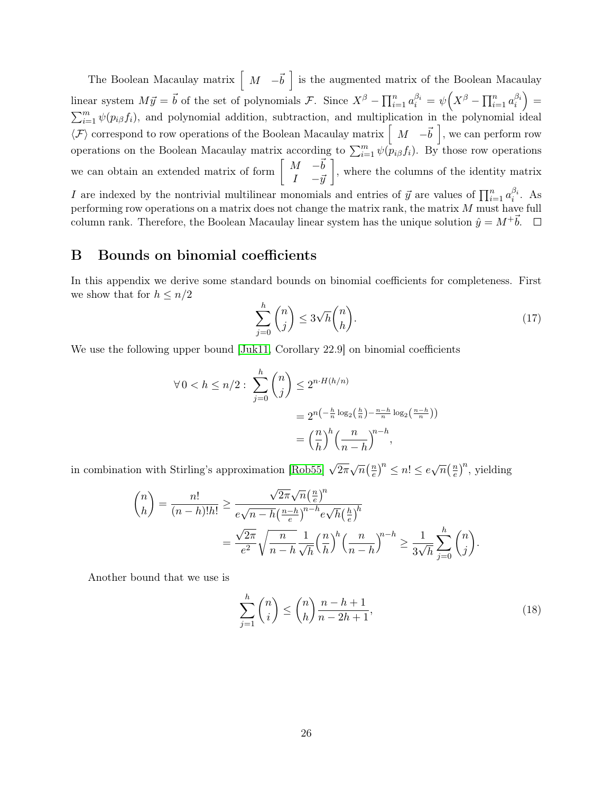The Boolean Macaulay matrix  $\begin{bmatrix} M & -\vec{b} \end{bmatrix}$  is the augmented matrix of the Boolean Macaulay linear system  $M\vec{y} = \vec{b}$  of the set of polynomials F. Since  $X^{\beta} - \prod_{i=1}^{n} a_i^{\beta_i} = \psi(X^{\beta} - \prod_{i=1}^{n} a_i^{\beta_i}) =$  $\sum_{i=1}^{m} \psi(p_i \beta f_i)$ , and polynomial addition, subtraction, and multiplication in the polynomial ideal  $\langle \mathcal{F} \rangle$  correspond to row operations of the Boolean Macaulay matrix  $\begin{bmatrix} M & -\vec{b} \end{bmatrix}$ , we can perform row operations on the Boolean Macaulay matrix according to  $\sum_{i=1}^{m} \psi(p_{i\beta} f_i)$ . By those row operations we can obtain an extended matrix of form  $\begin{bmatrix} M & -\vec{b} \\ I & -\vec{y} \end{bmatrix}$ , where the columns of the identity matrix I are indexed by the nontrivial multilinear monomials and entries of  $\vec{y}$  are values of  $\prod_{i=1}^{n} a_i^{\beta_i}$ . As performing row operations on a matrix does not change the matrix rank, the matrix  $M$  must have full

### <span id="page-25-0"></span>B Bounds on binomial coefficients

In this appendix we derive some standard bounds on binomial coefficients for completeness. First we show that for  $h \leq n/2$ 

column rank. Therefore, the Boolean Macaulay linear system has the unique solution  $\hat{y} = M^+ \vec{b}$ .  $\Box$ 

$$
\sum_{j=0}^{h} \binom{n}{j} \le 3\sqrt{h} \binom{n}{h}.\tag{17}
$$

We use the following upper bound [\[Juk11,](#page-23-12) Corollary 22.9] on binomial coefficients

$$
\forall 0 < h \le n/2: \sum_{j=0}^{h} \binom{n}{j} \le 2^{n \cdot H(h/n)}
$$
\n
$$
= 2^{n\left(-\frac{h}{n}\log_2\left(\frac{h}{n}\right) - \frac{n-h}{n}\log_2\left(\frac{n-h}{n}\right)\right)}
$$
\n
$$
= \left(\frac{n}{h}\right)^h \left(\frac{n}{n-h}\right)^{n-h},
$$

in combination with Stirling's approximation [\[Rob55\]](#page-23-13)  $\sqrt{2\pi}\sqrt{n}(\frac{n}{e})$  $\left(\frac{n}{e}\right)^n \leq n! \leq e\sqrt{n}\left(\frac{n}{e}\right)$  $(\frac{1}{e})^n$ , yielding

$$
\binom{n}{h} = \frac{n!}{(n-h)!h!} \ge \frac{\sqrt{2\pi}\sqrt{n}\left(\frac{n}{e}\right)^n}{e\sqrt{n-h}\left(\frac{n-h}{e}\right)^{n-h}e\sqrt{h}\left(\frac{h}{e}\right)^h}
$$

$$
= \frac{\sqrt{2\pi}}{e^2}\sqrt{\frac{n}{n-h}\frac{1}{\sqrt{h}}\left(\frac{n}{h}\right)^h}\left(\frac{n}{n-h}\right)^{n-h} \ge \frac{1}{3\sqrt{h}}\sum_{j=0}^h \binom{n}{j}.
$$

Another bound that we use is

$$
\sum_{j=1}^{h} \binom{n}{i} \le \binom{n}{h} \frac{n-h+1}{n-2h+1},\tag{18}
$$